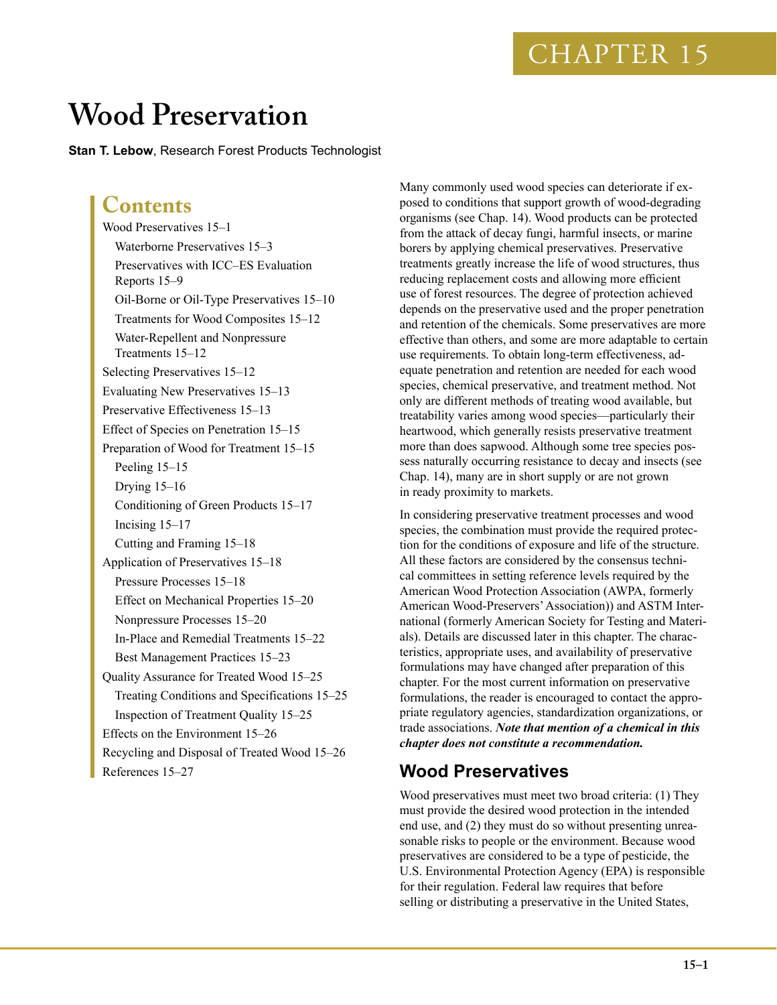# **Wood Preservation**

**Stan T. Lebow, Research Forest Products Technologist** 

# **Contents**

Wood Preservatives 15–1 Waterborne Preservatives 15–3 Preservatives with ICC–ES Evaluation Reports 15–9 Oil-Borne or Oil-Type Preservatives 15–10 Treatments for Wood Composites 15–12 Water-Repellent and Nonpressure Treatments 15–12 Selecting Preservatives 15–12 Evaluating New Preservatives 15–13 Preservative Effectiveness 15–13 Effect of Species on Penetration 15–15 Preparation of Wood for Treatment 15–15 Peeling 15–15 Drying 15–16 Conditioning of Green Products 15–17 Incising 15–17 Cutting and Framing 15–18 Application of Preservatives 15–18 Pressure Processes 15–18 Effect on Mechanical Properties 15–20 Nonpressure Processes 15–20 In-Place and Remedial Treatments 15–22 Best Management Practices 15–23 Quality Assurance for Treated Wood 15–25 Treating Conditions and Specifications 15–25 Inspection of Treatment Quality 15–25 Effects on the Environment 15–26 Recycling and Disposal of Treated Wood 15–26 References 15–27

Many commonly used wood species can deteriorate if exposed to conditions that support growth of wood-degrading organisms (see Chap. 14). Wood products can be protected from the attack of decay fungi, harmful insects, or marine borers by applying chemical preservatives. Preservative treatments greatly increase the life of wood structures, thus reducing replacement costs and allowing more efficient use of forest resources. The degree of protection achieved depends on the preservative used and the proper penetration and retention of the chemicals. Some preservatives are more effective than others, and some are more adaptable to certain use requirements. To obtain long-term effectiveness, adequate penetration and retention are needed for each wood species, chemical preservative, and treatment method. Not only are different methods of treating wood available, but treatability varies among wood species—particularly their heartwood, which generally resists preservative treatment more than does sapwood. Although some tree species possess naturally occurring resistance to decay and insects (see Chap. 14), many are in short supply or are not grown in ready proximity to markets.

In considering preservative treatment processes and wood species, the combination must provide the required protection for the conditions of exposure and life of the structure. All these factors are considered by the consensus technical committees in setting reference levels required by the American Wood Protection Association (AWPA, formerly American Wood-Preservers' Association)) and ASTM International (formerly American Society for Testing and Materials). Details are discussed later in this chapter. The characteristics, appropriate uses, and availability of preservative formulations may have changed after preparation of this chapter. For the most current information on preservative formulations, the reader is encouraged to contact the appropriate regulatory agencies, standardization organizations, or trade associations. *Note that mention of a chemical in this chapter does not constitute a recommendation.*

### **Wood Preservatives**

Wood preservatives must meet two broad criteria: (1) They must provide the desired wood protection in the intended end use, and (2) they must do so without presenting unreasonable risks to people or the environment. Because wood preservatives are considered to be a type of pesticide, the U.S. Environmental Protection Agency (EPA) is responsible for their regulation. Federal law requires that before selling or distributing a preservative in the United States,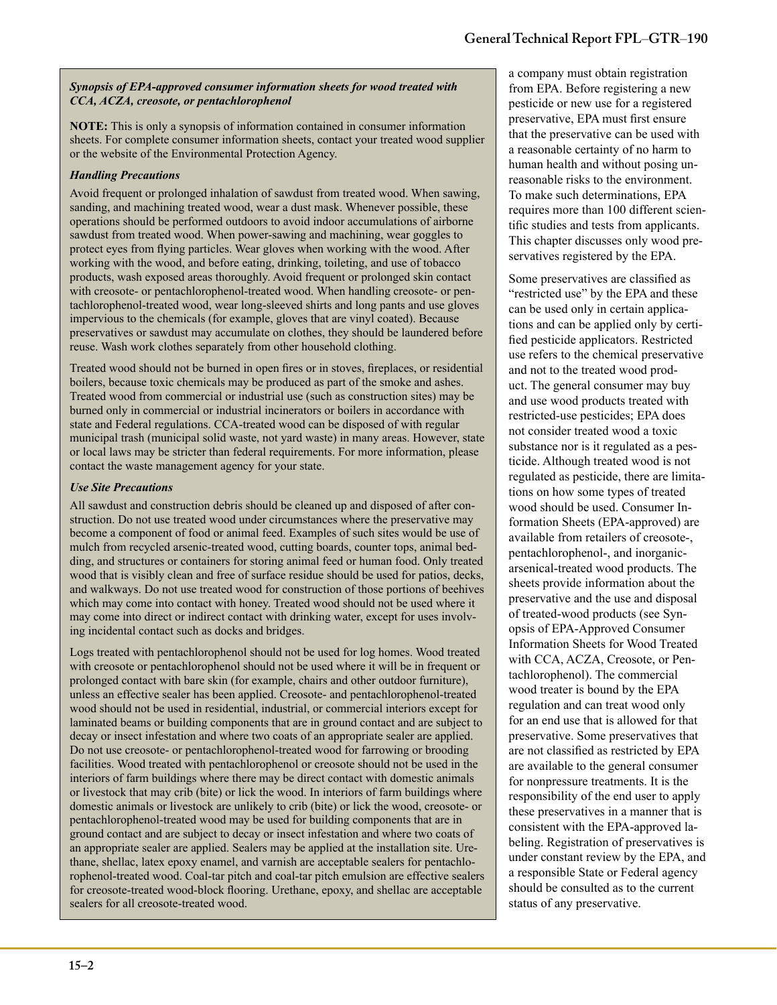#### *Synopsis of EPA-approved consumer information sheets for wood treated with CCA, ACZA, creosote, or pentachlorophenol*

**NOTE:** This is only a synopsis of information contained in consumer information sheets. For complete consumer information sheets, contact your treated wood supplier or the website of the Environmental Protection Agency.

### *Handling Precautions*

Avoid frequent or prolonged inhalation of sawdust from treated wood. When sawing, sanding, and machining treated wood, wear a dust mask. Whenever possible, these operations should be performed outdoors to avoid indoor accumulations of airborne sawdust from treated wood. When power-sawing and machining, wear goggles to protect eyes from flying particles. Wear gloves when working with the wood. After working with the wood, and before eating, drinking, toileting, and use of tobacco products, wash exposed areas thoroughly. Avoid frequent or prolonged skin contact with creosote- or pentachlorophenol-treated wood. When handling creosote- or pentachlorophenol-treated wood, wear long-sleeved shirts and long pants and use gloves impervious to the chemicals (for example, gloves that are vinyl coated). Because preservatives or sawdust may accumulate on clothes, they should be laundered before reuse. Wash work clothes separately from other household clothing.

Treated wood should not be burned in open fires or in stoves, fireplaces, or residential boilers, because toxic chemicals may be produced as part of the smoke and ashes. Treated wood from commercial or industrial use (such as construction sites) may be burned only in commercial or industrial incinerators or boilers in accordance with state and Federal regulations. CCA-treated wood can be disposed of with regular municipal trash (municipal solid waste, not yard waste) in many areas. However, state or local laws may be stricter than federal requirements. For more information, please contact the waste management agency for your state.

### *Use Site Precautions*

All sawdust and construction debris should be cleaned up and disposed of after construction. Do not use treated wood under circumstances where the preservative may become a component of food or animal feed. Examples of such sites would be use of mulch from recycled arsenic-treated wood, cutting boards, counter tops, animal bedding, and structures or containers for storing animal feed or human food. Only treated wood that is visibly clean and free of surface residue should be used for patios, decks, and walkways. Do not use treated wood for construction of those portions of beehives which may come into contact with honey. Treated wood should not be used where it may come into direct or indirect contact with drinking water, except for uses involving incidental contact such as docks and bridges.

Logs treated with pentachlorophenol should not be used for log homes. Wood treated with creosote or pentachlorophenol should not be used where it will be in frequent or prolonged contact with bare skin (for example, chairs and other outdoor furniture), unless an effective sealer has been applied. Creosote- and pentachlorophenol-treated wood should not be used in residential, industrial, or commercial interiors except for laminated beams or building components that are in ground contact and are subject to decay or insect infestation and where two coats of an appropriate sealer are applied. Do not use creosote- or pentachlorophenol-treated wood for farrowing or brooding facilities. Wood treated with pentachlorophenol or creosote should not be used in the interiors of farm buildings where there may be direct contact with domestic animals or livestock that may crib (bite) or lick the wood. In interiors of farm buildings where domestic animals or livestock are unlikely to crib (bite) or lick the wood, creosote- or pentachlorophenol-treated wood may be used for building components that are in ground contact and are subject to decay or insect infestation and where two coats of an appropriate sealer are applied. Sealers may be applied at the installation site. Urethane, shellac, latex epoxy enamel, and varnish are acceptable sealers for pentachlorophenol-treated wood. Coal-tar pitch and coal-tar pitch emulsion are effective sealers for creosote-treated wood-block flooring. Urethane, epoxy, and shellac are acceptable sealers for all creosote-treated wood.

a company must obtain registration from EPA. Before registering a new pesticide or new use for a registered preservative, EPA must first ensure that the preservative can be used with a reasonable certainty of no harm to human health and without posing unreasonable risks to the environment. To make such determinations, EPA requires more than 100 different scientific studies and tests from applicants. This chapter discusses only wood preservatives registered by the EPA.

Some preservatives are classified as "restricted use" by the EPA and these can be used only in certain applications and can be applied only by certified pesticide applicators. Restricted use refers to the chemical preservative and not to the treated wood product. The general consumer may buy and use wood products treated with restricted-use pesticides; EPA does not consider treated wood a toxic substance nor is it regulated as a pesticide. Although treated wood is not regulated as pesticide, there are limitations on how some types of treated wood should be used. Consumer Information Sheets (EPA-approved) are available from retailers of creosote-, pentachlorophenol-, and inorganicarsenical-treated wood products. The sheets provide information about the preservative and the use and disposal of treated-wood products (see Synopsis of EPA-Approved Consumer Information Sheets for Wood Treated with CCA, ACZA, Creosote, or Pentachlorophenol). The commercial wood treater is bound by the EPA regulation and can treat wood only for an end use that is allowed for that preservative. Some preservatives that are not classified as restricted by EPA are available to the general consumer for nonpressure treatments. It is the responsibility of the end user to apply these preservatives in a manner that is consistent with the EPA-approved labeling. Registration of preservatives is under constant review by the EPA, and a responsible State or Federal agency should be consulted as to the current status of any preservative.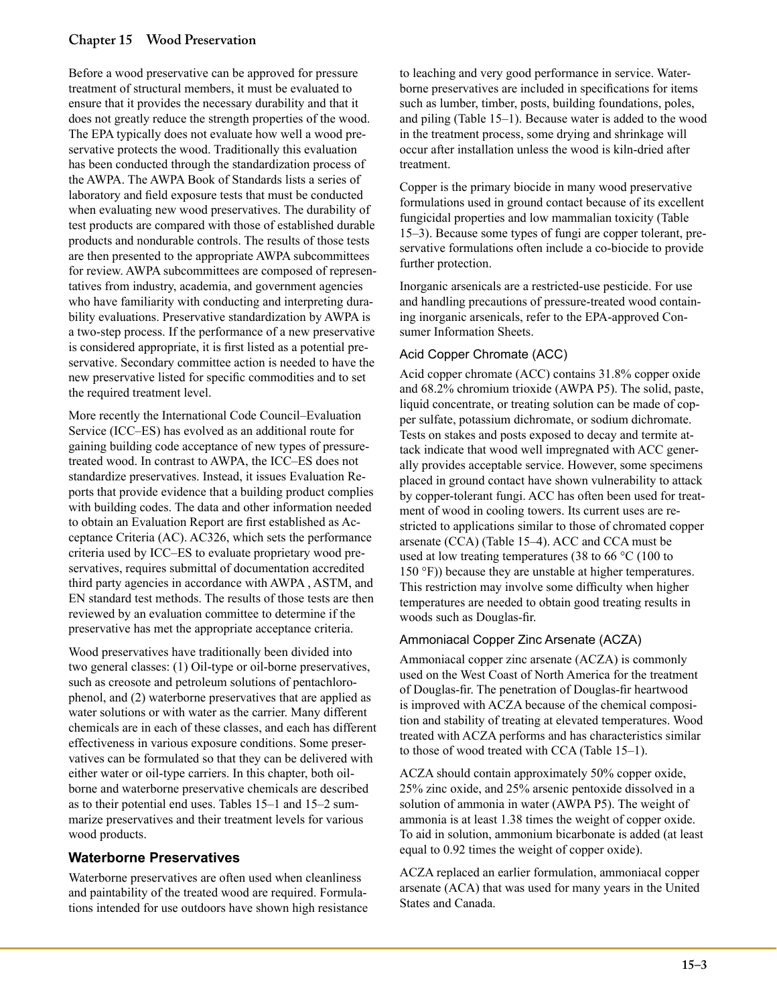Before a wood preservative can be approved for pressure treatment of structural members, it must be evaluated to ensure that it provides the necessary durability and that it does not greatly reduce the strength properties of the wood. The EPA typically does not evaluate how well a wood preservative protects the wood. Traditionally this evaluation has been conducted through the standardization process of the AWPA. The AWPA Book of Standards lists a series of laboratory and field exposure tests that must be conducted when evaluating new wood preservatives. The durability of test products are compared with those of established durable products and nondurable controls. The results of those tests are then presented to the appropriate AWPA subcommittees for review. AWPA subcommittees are composed of representatives from industry, academia, and government agencies who have familiarity with conducting and interpreting durability evaluations. Preservative standardization by AWPA is a two-step process. If the performance of a new preservative is considered appropriate, it is first listed as a potential preservative. Secondary committee action is needed to have the new preservative listed for specific commodities and to set the required treatment level.

More recently the International Code Council–Evaluation Service (ICC–ES) has evolved as an additional route for gaining building code acceptance of new types of pressuretreated wood. In contrast to AWPA, the ICC–ES does not standardize preservatives. Instead, it issues Evaluation Reports that provide evidence that a building product complies with building codes. The data and other information needed to obtain an Evaluation Report are first established as Acceptance Criteria (AC). AC326, which sets the performance criteria used by ICC–ES to evaluate proprietary wood preservatives, requires submittal of documentation accredited third party agencies in accordance with AWPA , ASTM, and EN standard test methods. The results of those tests are then reviewed by an evaluation committee to determine if the preservative has met the appropriate acceptance criteria.

Wood preservatives have traditionally been divided into two general classes: (1) Oil-type or oil-borne preservatives, such as creosote and petroleum solutions of pentachlorophenol, and (2) waterborne preservatives that are applied as water solutions or with water as the carrier. Many different chemicals are in each of these classes, and each has different effectiveness in various exposure conditions. Some preservatives can be formulated so that they can be delivered with either water or oil-type carriers. In this chapter, both oilborne and waterborne preservative chemicals are described as to their potential end uses. Tables 15–1 and 15–2 summarize preservatives and their treatment levels for various wood products.

### **Waterborne Preservatives**

Waterborne preservatives are often used when cleanliness and paintability of the treated wood are required. Formulations intended for use outdoors have shown high resistance to leaching and very good performance in service. Waterborne preservatives are included in specifications for items such as lumber, timber, posts, building foundations, poles, and piling (Table 15–1). Because water is added to the wood in the treatment process, some drying and shrinkage will occur after installation unless the wood is kiln-dried after treatment.

Copper is the primary biocide in many wood preservative formulations used in ground contact because of its excellent fungicidal properties and low mammalian toxicity (Table 15–3). Because some types of fungi are copper tolerant, preservative formulations often include a co-biocide to provide further protection.

Inorganic arsenicals are a restricted-use pesticide. For use and handling precautions of pressure-treated wood containing inorganic arsenicals, refer to the EPA-approved Consumer Information Sheets.

### Acid Copper Chromate (ACC)

Acid copper chromate (ACC) contains 31.8% copper oxide and 68.2% chromium trioxide (AWPA P5). The solid, paste, liquid concentrate, or treating solution can be made of copper sulfate, potassium dichromate, or sodium dichromate. Tests on stakes and posts exposed to decay and termite attack indicate that wood well impregnated with ACC generally provides acceptable service. However, some specimens placed in ground contact have shown vulnerability to attack by copper-tolerant fungi. ACC has often been used for treatment of wood in cooling towers. Its current uses are restricted to applications similar to those of chromated copper arsenate (CCA) (Table 15–4). ACC and CCA must be used at low treating temperatures (38 to 66 °C (100 to 150 °F)) because they are unstable at higher temperatures. This restriction may involve some difficulty when higher temperatures are needed to obtain good treating results in woods such as Douglas-fir.

### Ammoniacal Copper Zinc Arsenate (ACZA)

Ammoniacal copper zinc arsenate (ACZA) is commonly used on the West Coast of North America for the treatment of Douglas-fir. The penetration of Douglas-fir heartwood is improved with ACZA because of the chemical composition and stability of treating at elevated temperatures. Wood treated with ACZA performs and has characteristics similar to those of wood treated with CCA (Table 15–1).

ACZA should contain approximately 50% copper oxide, 25% zinc oxide, and 25% arsenic pentoxide dissolved in a solution of ammonia in water (AWPA P5). The weight of ammonia is at least 1.38 times the weight of copper oxide. To aid in solution, ammonium bicarbonate is added (at least equal to 0.92 times the weight of copper oxide).

ACZA replaced an earlier formulation, ammoniacal copper arsenate (ACA) that was used for many years in the United States and Canada.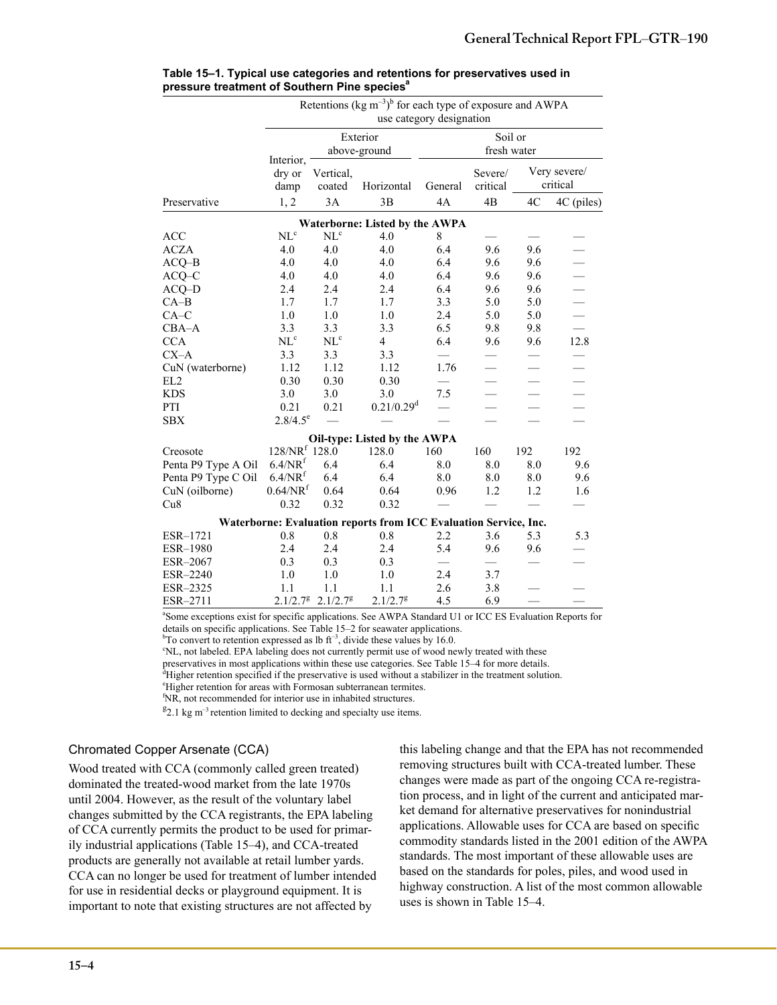|                                                                                                                     |                             |                                 | Retentions (kg $m^{-3}$ ) <sup>b</sup> for each type of exposure and AWPA | use category designation |                        |     |                          |
|---------------------------------------------------------------------------------------------------------------------|-----------------------------|---------------------------------|---------------------------------------------------------------------------|--------------------------|------------------------|-----|--------------------------|
|                                                                                                                     |                             |                                 | Exterior<br>above-ground                                                  |                          | Soil or<br>fresh water |     |                          |
|                                                                                                                     | Interior,<br>dry or<br>damp | Vertical,<br>coated             | Horizontal                                                                | General                  | Severe/<br>critical    |     | Very severe/<br>critical |
| Preservative                                                                                                        | 1, 2                        | 3A                              | 3B                                                                        | 4A                       | 4B                     | 4C  | 4C (piles)               |
|                                                                                                                     |                             |                                 | <b>Waterborne: Listed by the AWPA</b>                                     |                          |                        |     |                          |
| <b>ACC</b>                                                                                                          | $\text{NL}^{\text{c}}$      | $\rm NL^c$                      | 4.0                                                                       | 8                        |                        |     |                          |
| <b>ACZA</b>                                                                                                         | 4.0                         | 4.0                             | 4.0                                                                       | 6.4                      | 9.6                    | 9.6 |                          |
| $ACQ-B$                                                                                                             | 4.0                         | 4.0                             | 4.0                                                                       | 6.4                      | 9.6                    | 9.6 |                          |
| $ACQ-C$                                                                                                             | 4.0                         | 4.0                             | 4.0                                                                       | 6.4                      | 9.6                    | 9.6 |                          |
| ACQ-D                                                                                                               | 2.4                         | 2.4                             | 2.4                                                                       | 6.4                      | 9.6                    | 9.6 |                          |
| $CA-B$                                                                                                              | 1.7                         | 1.7                             | 1.7                                                                       | 3.3                      | 5.0                    | 5.0 | $\overline{\phantom{0}}$ |
| $CA-C$                                                                                                              | 1.0                         | 1.0                             | 1.0                                                                       | 2.4                      | 5.0                    | 5.0 | $\overline{\phantom{0}}$ |
| $CBA-A$                                                                                                             | 3.3                         | 3.3                             | 3.3                                                                       | 6.5                      | 9.8                    | 9.8 |                          |
| <b>CCA</b>                                                                                                          | NL <sup>c</sup>             | NL <sup>c</sup>                 | $\overline{4}$                                                            | 6.4                      | 9.6                    | 9.6 | 12.8                     |
| $CX-A$                                                                                                              | 3.3                         | 3.3                             | 3.3                                                                       |                          |                        |     |                          |
| CuN (waterborne)                                                                                                    | 1.12                        | 1.12                            | 1.12                                                                      | 1.76                     |                        |     |                          |
| EL <sub>2</sub>                                                                                                     | 0.30                        | 0.30                            | 0.30                                                                      |                          |                        |     |                          |
| <b>KDS</b>                                                                                                          | 3.0                         | 3.0                             | 3.0                                                                       | 7.5                      |                        |     |                          |
| PTI                                                                                                                 | 0.21                        | 0.21                            | 0.21/0.29 <sup>d</sup>                                                    |                          |                        |     |                          |
| <b>SBX</b>                                                                                                          | $2.8/4.5^e$                 |                                 |                                                                           |                          |                        |     |                          |
|                                                                                                                     |                             |                                 | Oil-type: Listed by the AWPA                                              |                          |                        |     |                          |
| Creosote                                                                                                            | $128/NR^f$ 128.0            |                                 | 128.0                                                                     | 160                      | 160                    | 192 | 192                      |
| Penta P9 Type A Oil                                                                                                 | 6.4/NR <sup>f</sup>         | 6.4                             | 6.4                                                                       | 8.0                      | 8.0                    | 8.0 | 9.6                      |
| Penta P9 Type C Oil                                                                                                 | 6.4/NR <sup>f</sup>         | 6.4                             | 6.4                                                                       | 8.0                      | 8.0                    | 8.0 | 9.6                      |
| CuN (oilborne)                                                                                                      | 0.64/NR <sup>f</sup>        | 0.64                            | 0.64                                                                      | 0.96                     | 1.2                    | 1.2 | 1.6                      |
| Cu8                                                                                                                 | 0.32                        | 0.32                            | 0.32                                                                      |                          |                        |     |                          |
|                                                                                                                     |                             |                                 | Waterborne: Evaluation reports from ICC Evaluation Service, Inc.          |                          |                        |     |                          |
| ESR-1721                                                                                                            | 0.8                         | 0.8                             | 0.8                                                                       | 2.2                      | 3.6                    | 5.3 | 5.3                      |
| ESR-1980                                                                                                            | 2.4                         | 2.4                             | 2.4                                                                       | 5.4                      | 9.6                    | 9.6 |                          |
| ESR-2067                                                                                                            | 0.3                         | 0.3                             | 0.3                                                                       |                          |                        |     |                          |
| ESR-2240                                                                                                            | 1.0                         | 1.0                             | 1.0                                                                       | 2.4                      | 3.7                    |     |                          |
| ESR-2325                                                                                                            | 1.1                         | 1.1                             | 1.1                                                                       | 2.6                      | 3.8                    |     |                          |
| ESR-2711                                                                                                            |                             | $2.1/2.78$ 2.1/2.7 <sup>8</sup> | 2.1/2.7 <sup>g</sup>                                                      | 4.5                      | 6.9                    |     |                          |
| <sup>a</sup> Some exceptions exist for specific applications. See AWPA Standard U1 or ICC ES Evaluation Reports for |                             |                                 |                                                                           |                          |                        |     |                          |

#### **Table 15–1. Typical use categories and retentions for preservatives used in pressure treatment of Southern Pine species**<sup>a</sup>

details on specific applications. See Table 15–2 for seawater applications.

 $bT_0$  convert to retention expressed as lb ft<sup>-3</sup>, divide these values by 16.0.

<sup>e</sup>NL, not labeled. EPA labeling does not currently permit use of wood newly treated with these

preservatives in most applications within these use categories. See Table 15–4 for more details.<br><sup>d</sup>Higher retartion specified if the preservative is used without a stabilizer in the treatment solution

 ${}^{4}$ Higher retention specified if the preservative is used without a stabilizer in the treatment solution.<br><sup>e</sup>Higher retention for areas with Eormosan subterranean termites

<sup>e</sup>Higher retention for areas with Formosan subterranean termites.

f NR, not recommended for interior use in inhabited structures.

 $^{g}$ 2.1 kg m<sup>-3</sup> retention limited to decking and specialty use items.

### Chromated Copper Arsenate (CCA)

Wood treated with CCA (commonly called green treated) dominated the treated-wood market from the late 1970s until 2004. However, as the result of the voluntary label changes submitted by the CCA registrants, the EPA labeling of CCA currently permits the product to be used for primarily industrial applications (Table 15–4), and CCA-treated products are generally not available at retail lumber yards. CCA can no longer be used for treatment of lumber intended for use in residential decks or playground equipment. It is important to note that existing structures are not affected by

this labeling change and that the EPA has not recommended removing structures built with CCA-treated lumber. These changes were made as part of the ongoing CCA re-registration process, and in light of the current and anticipated market demand for alternative preservatives for nonindustrial applications. Allowable uses for CCA are based on specific commodity standards listed in the 2001 edition of the AWPA standards. The most important of these allowable uses are based on the standards for poles, piles, and wood used in highway construction. A list of the most common allowable uses is shown in Table 15–4.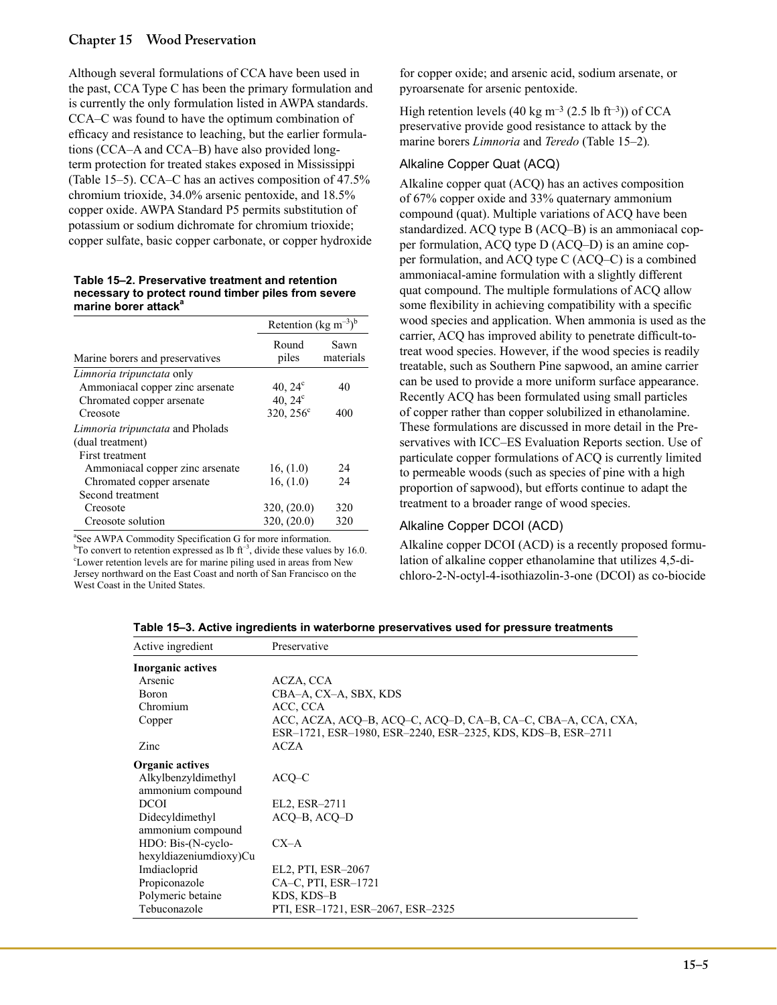Although several formulations of CCA have been used in the past, CCA Type C has been the primary formulation and is currently the only formulation listed in AWPA standards. CCA–C was found to have the optimum combination of efficacy and resistance to leaching, but the earlier formulations (CCA–A and CCA–B) have also provided longterm protection for treated stakes exposed in Mississippi (Table 15–5). CCA–C has an actives composition of 47.5% chromium trioxide, 34.0% arsenic pentoxide, and 18.5% copper oxide. AWPA Standard P5 permits substitution of potassium or sodium dichromate for chromium trioxide; copper sulfate, basic copper carbonate, or copper hydroxide

**Table 15–2. Preservative treatment and retention necessary to protect round timber piles from severe**  marine borer attack<sup>a</sup>

|                                                                                           | Retention (kg m <sup>-3</sup> ) <sup>b</sup> |                   |  |
|-------------------------------------------------------------------------------------------|----------------------------------------------|-------------------|--|
| Marine borers and preservatives                                                           | Round<br>piles                               | Sawn<br>materials |  |
| Limnoria tripunctata only<br>Ammoniacal copper zinc arsenate<br>Chromated copper arsenate | 40, $24^{\circ}$<br>40, $24^c$               | 40                |  |
| Creosote                                                                                  | $320, 256^{\circ}$                           | 400               |  |
| <i>Limnoria tripunctata</i> and Pholads<br>(dual treatment)<br>First treatment            |                                              |                   |  |
| Ammoniacal copper zinc arsenate                                                           | 16, (1.0)                                    | 24                |  |
| Chromated copper arsenate<br>Second treatment                                             | 16, (1.0)                                    | 24                |  |
| Creosote                                                                                  | 320, (20.0)                                  | 320               |  |
| Creosote solution                                                                         | 320, (20.0)                                  | 320               |  |

a See AWPA Commodity Specification G for more information.

<sup>b</sup>To convert to retention expressed as lb  $\text{ft}^{-3}$ , divide these values by 16.0. c Lower retention levels are for marine piling used in areas from New Jersey northward on the East Coast and north of San Francisco on the West Coast in the United States.

for copper oxide; and arsenic acid, sodium arsenate, or pyroarsenate for arsenic pentoxide.

High retention levels (40 kg m<sup>-3</sup> (2.5 lb ft<sup>-3</sup>)) of CCA preservative provide good resistance to attack by the marine borers *Limnoria* and *Teredo* (Table 15–2)*.*

### Alkaline Copper Quat (ACQ)

Alkaline copper quat (ACQ) has an actives composition of 67% copper oxide and 33% quaternary ammonium compound (quat). Multiple variations of ACQ have been standardized. ACQ type B (ACQ–B) is an ammoniacal copper formulation, ACQ type D (ACQ–D) is an amine copper formulation, and ACQ type C (ACQ–C) is a combined ammoniacal-amine formulation with a slightly different quat compound. The multiple formulations of ACQ allow some flexibility in achieving compatibility with a specific wood species and application. When ammonia is used as the carrier, ACQ has improved ability to penetrate difficult-totreat wood species. However, if the wood species is readily treatable, such as Southern Pine sapwood, an amine carrier can be used to provide a more uniform surface appearance. Recently ACQ has been formulated using small particles of copper rather than copper solubilized in ethanolamine. These formulations are discussed in more detail in the Preservatives with ICC–ES Evaluation Reports section. Use of particulate copper formulations of ACQ is currently limited to permeable woods (such as species of pine with a high proportion of sapwood), but efforts continue to adapt the treatment to a broader range of wood species.

#### Alkaline Copper DCOI (ACD)

Alkaline copper DCOI (ACD) is a recently proposed formulation of alkaline copper ethanolamine that utilizes 4,5-dichloro-2-N-octyl-4-isothiazolin-3-one (DCOI) as co-biocide

| Active ingredient                        | Preservative                                                                                                                 |
|------------------------------------------|------------------------------------------------------------------------------------------------------------------------------|
| <b>Inorganic actives</b>                 |                                                                                                                              |
| Arsenic                                  | ACZA, CCA                                                                                                                    |
| Boron                                    | CBA-A, CX-A, SBX, KDS                                                                                                        |
| Chromium                                 | ACC, CCA                                                                                                                     |
| Copper                                   | ACC, ACZA, ACQ–B, ACQ–C, ACQ–D, CA–B, CA–C, CBA–A, CCA, CXA,<br>ESR-1721, ESR-1980, ESR-2240, ESR-2325, KDS, KDS-B, ESR-2711 |
| Zinc                                     | ACZA                                                                                                                         |
| <b>Organic actives</b>                   |                                                                                                                              |
| Alkylbenzyldimethyl<br>ammonium compound | $ACO-C$                                                                                                                      |
| <b>DCOI</b>                              | EL2, ESR-2711                                                                                                                |
| Didecyldimethyl<br>ammonium compound     | ACO-B, ACO-D                                                                                                                 |
| HDO: Bis-(N-cyclo-                       | $CX-A$                                                                                                                       |
| hexyldiazeniumdioxy)Cu                   |                                                                                                                              |
| Imdiacloprid                             | EL2, PTI, ESR-2067                                                                                                           |
| Propiconazole                            | CA–C, PTI, ESR–1721                                                                                                          |
| Polymeric betaine                        | KDS, KDS-B                                                                                                                   |
| Tebuconazole                             | PTI, ESR-1721, ESR-2067, ESR-2325                                                                                            |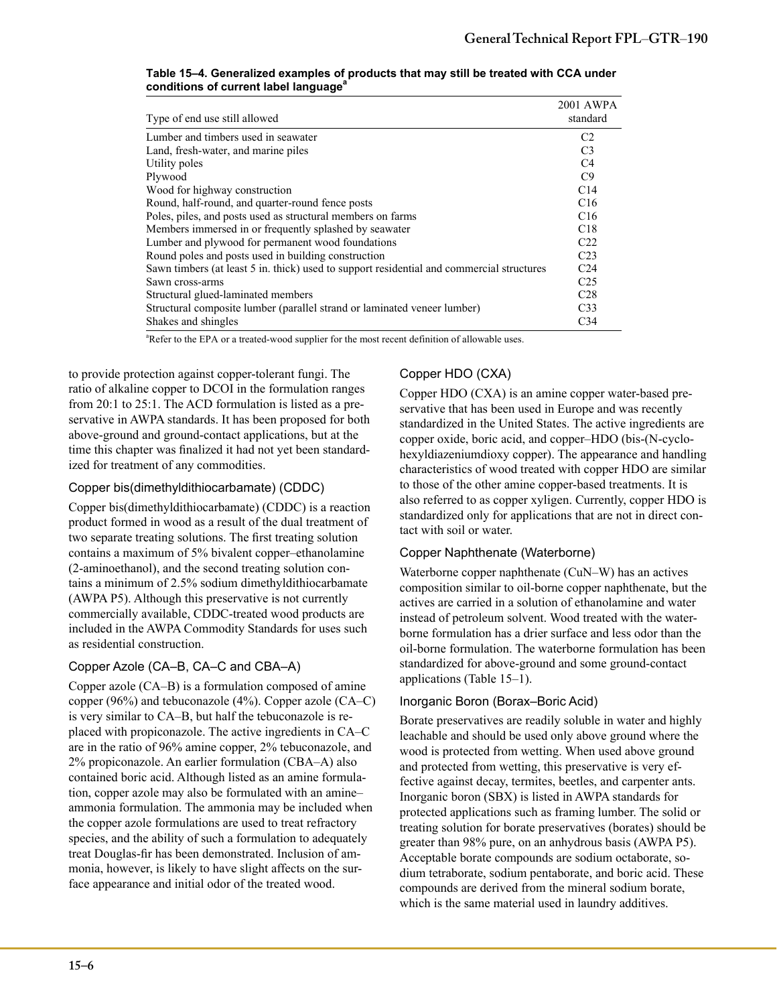| Type of end use still allowed                                                             | 2001 AWPA<br>standard |
|-------------------------------------------------------------------------------------------|-----------------------|
| Lumber and timbers used in seawater                                                       | C <sub>2</sub>        |
| Land, fresh-water, and marine piles                                                       | C <sub>3</sub>        |
| Utility poles                                                                             | C <sub>4</sub>        |
| Plywood                                                                                   | C9                    |
| Wood for highway construction                                                             | C14                   |
| Round, half-round, and quarter-round fence posts                                          | C16                   |
| Poles, piles, and posts used as structural members on farms                               | C16                   |
| Members immersed in or frequently splashed by seawater                                    | C18                   |
| Lumber and plywood for permanent wood foundations                                         | C <sub>22</sub>       |
| Round poles and posts used in building construction                                       | C <sub>23</sub>       |
| Sawn timbers (at least 5 in. thick) used to support residential and commercial structures | C <sub>24</sub>       |
| Sawn cross-arms                                                                           | C <sub>25</sub>       |
| Structural glued-laminated members                                                        | C <sub>28</sub>       |
| Structural composite lumber (parallel strand or laminated veneer lumber)                  | C <sub>33</sub>       |
| Shakes and shingles                                                                       | C <sub>34</sub>       |

**Table 15–4. Generalized examples of products that may still be treated with CCA under**  conditions of current label language<sup>a</sup>

<sup>a</sup>Refer to the EPA or a treated-wood supplier for the most recent definition of allowable uses.

to provide protection against copper-tolerant fungi. The ratio of alkaline copper to DCOI in the formulation ranges from 20:1 to 25:1. The ACD formulation is listed as a preservative in AWPA standards. It has been proposed for both above-ground and ground-contact applications, but at the time this chapter was finalized it had not yet been standardized for treatment of any commodities.

### Copper bis(dimethyldithiocarbamate) (CDDC)

Copper bis(dimethyldithiocarbamate) (CDDC) is a reaction product formed in wood as a result of the dual treatment of two separate treating solutions. The first treating solution contains a maximum of 5% bivalent copper–ethanolamine (2-aminoethanol), and the second treating solution contains a minimum of 2.5% sodium dimethyldithiocarbamate (AWPA P5). Although this preservative is not currently commercially available, CDDC-treated wood products are included in the AWPA Commodity Standards for uses such as residential construction.

### Copper Azole (CA–B, CA–C and CBA–A)

Copper azole (CA–B) is a formulation composed of amine copper (96%) and tebuconazole (4%). Copper azole (CA–C) is very similar to CA–B, but half the tebuconazole is replaced with propiconazole. The active ingredients in CA–C are in the ratio of 96% amine copper, 2% tebuconazole, and 2% propiconazole. An earlier formulation (CBA–A) also contained boric acid. Although listed as an amine formulation, copper azole may also be formulated with an amine– ammonia formulation. The ammonia may be included when the copper azole formulations are used to treat refractory species, and the ability of such a formulation to adequately treat Douglas-fir has been demonstrated. Inclusion of ammonia, however, is likely to have slight affects on the surface appearance and initial odor of the treated wood.

### Copper HDO (CXA)

Copper HDO (CXA) is an amine copper water-based preservative that has been used in Europe and was recently standardized in the United States. The active ingredients are copper oxide, boric acid, and copper–HDO (bis-(N-cyclohexyldiazeniumdioxy copper). The appearance and handling characteristics of wood treated with copper HDO are similar to those of the other amine copper-based treatments. It is also referred to as copper xyligen. Currently, copper HDO is standardized only for applications that are not in direct contact with soil or water.

#### Copper Naphthenate (Waterborne)

Waterborne copper naphthenate (CuN–W) has an actives composition similar to oil-borne copper naphthenate, but the actives are carried in a solution of ethanolamine and water instead of petroleum solvent. Wood treated with the waterborne formulation has a drier surface and less odor than the oil-borne formulation. The waterborne formulation has been standardized for above-ground and some ground-contact applications (Table 15–1).

### Inorganic Boron (Borax–Boric Acid)

Borate preservatives are readily soluble in water and highly leachable and should be used only above ground where the wood is protected from wetting. When used above ground and protected from wetting, this preservative is very effective against decay, termites, beetles, and carpenter ants. Inorganic boron (SBX) is listed in AWPA standards for protected applications such as framing lumber. The solid or treating solution for borate preservatives (borates) should be greater than 98% pure, on an anhydrous basis (AWPA P5). Acceptable borate compounds are sodium octaborate, sodium tetraborate, sodium pentaborate, and boric acid. These compounds are derived from the mineral sodium borate, which is the same material used in laundry additives.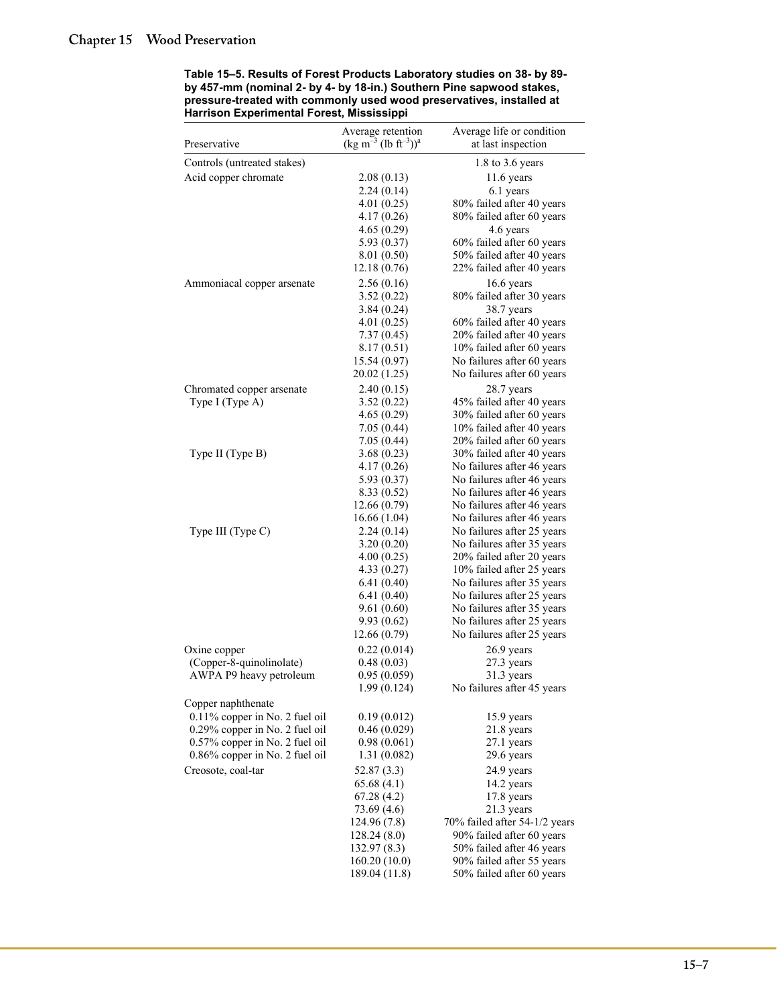| Preservative                | Average retention<br>$(\text{kg m}^{-3} (\text{lb ft}^{-3}))^{\text{a}}$                                        | Average life or condition<br>at last inspection                                                                                                                                                            |
|-----------------------------|-----------------------------------------------------------------------------------------------------------------|------------------------------------------------------------------------------------------------------------------------------------------------------------------------------------------------------------|
| Controls (untreated stakes) |                                                                                                                 | 1.8 to 3.6 years                                                                                                                                                                                           |
| Acid copper chromate        | 2.08(0.13)<br>2.24(0.14)<br>4.01(0.25)<br>4.17(0.26)<br>4.65(0.29)<br>5.93(0.37)<br>8.01 (0.50)<br>12.18(0.76)  | $11.6$ years<br>6.1 years<br>80% failed after 40 years<br>80% failed after 60 years<br>4.6 years<br>60% failed after 60 years<br>50% failed after 40 years<br>22% failed after 40 years                    |
| Ammoniacal copper arsenate  | 2.56(0.16)<br>3.52(0.22)<br>3.84(0.24)<br>4.01(0.25)<br>7.37(0.45)<br>8.17(0.51)<br>15.54 (0.97)<br>20.02(1.25) | $16.6$ years<br>80% failed after 30 years<br>38.7 years<br>60% failed after 40 years<br>20% failed after 40 years<br>10% failed after 60 years<br>No failures after 60 years<br>No failures after 60 years |
| Chromated copper arsenate   | 2.40(0.15)                                                                                                      | 28.7 years                                                                                                                                                                                                 |

**Table 15–5. Results of Forest Products Laboratory studies on 38- by 89-** 

| Type I (Type A)                   | 3.52(0.22)    | 45% failed after 40 years     |
|-----------------------------------|---------------|-------------------------------|
|                                   | 4.65(0.29)    | 30% failed after 60 years     |
|                                   | 7.05(0.44)    | 10% failed after 40 years     |
|                                   | 7.05(0.44)    | 20% failed after 60 years     |
| Type II (Type B)                  | 3.68(0.23)    | 30% failed after 40 years     |
|                                   | 4.17(0.26)    | No failures after 46 years    |
|                                   | 5.93(0.37)    | No failures after 46 years    |
|                                   | 8.33(0.52)    | No failures after 46 years    |
|                                   | 12.66 (0.79)  | No failures after 46 years    |
|                                   | 16.66 (1.04)  | No failures after 46 years    |
| Type III (Type C)                 | 2.24(0.14)    | No failures after 25 years    |
|                                   | 3.20(0.20)    | No failures after 35 years    |
|                                   | 4.00(0.25)    | 20% failed after 20 years     |
|                                   | 4.33(0.27)    | 10% failed after 25 years     |
|                                   | 6.41(0.40)    | No failures after 35 years    |
|                                   | 6.41(0.40)    | No failures after 25 years    |
|                                   | 9.61(0.60)    | No failures after 35 years    |
|                                   | 9.93(0.62)    | No failures after 25 years    |
|                                   | 12.66 (0.79)  | No failures after 25 years    |
| Oxine copper                      | 0.22(0.014)   | 26.9 years                    |
| (Copper-8-quinolinolate)          | 0.48(0.03)    | 27.3 years                    |
| AWPA P9 heavy petroleum           | 0.95(0.059)   | 31.3 years                    |
|                                   | 1.99(0.124)   | No failures after 45 years    |
| Copper naphthenate                |               |                               |
| $0.11\%$ copper in No. 2 fuel oil | 0.19(0.012)   | 15.9 years                    |
| 0.29% copper in No. 2 fuel oil    | 0.46(0.029)   | 21.8 years                    |
| 0.57% copper in No. 2 fuel oil    | 0.98(0.061)   | 27.1 years                    |
| 0.86% copper in No. 2 fuel oil    | 1.31(0.082)   | 29.6 years                    |
| Creosote, coal-tar                | 52.87(3.3)    | 24.9 years                    |
|                                   | 65.68(4.1)    | 14.2 years                    |
|                                   | 67.28(4.2)    | 17.8 years                    |
|                                   | 73.69(4.6)    | 21.3 years                    |
|                                   | 124.96 (7.8)  | 70% failed after 54-1/2 years |
|                                   | 128.24(8.0)   | 90% failed after 60 years     |
|                                   | 132.97 (8.3)  | 50% failed after 46 years     |
|                                   | 160.20 (10.0) | 90% failed after 55 years     |
|                                   | 189.04 (11.8) | 50% failed after 60 years     |
|                                   |               |                               |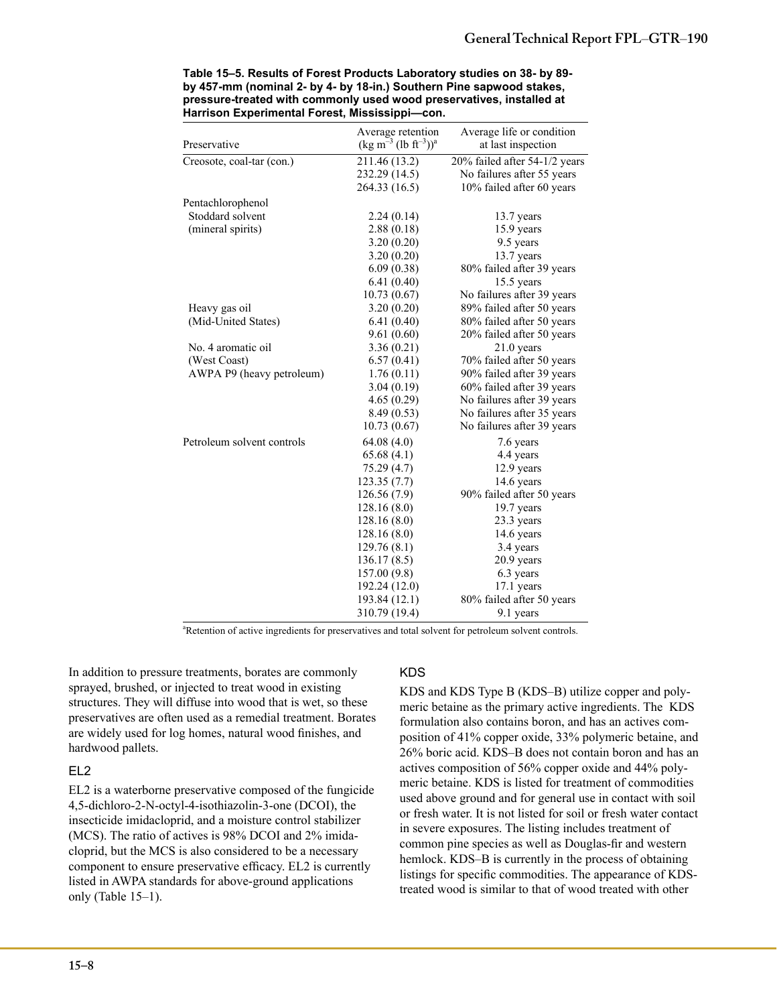| Preservative               | Average retention<br>$(\text{kg m}^{-3} (\text{lb ft}^{-3}))^{\text{a}}$ | Average life or condition<br>at last inspection |
|----------------------------|--------------------------------------------------------------------------|-------------------------------------------------|
|                            |                                                                          |                                                 |
| Creosote, coal-tar (con.)  | 211.46 (13.2)                                                            | 20% failed after 54-1/2 years                   |
|                            | 232.29 (14.5)                                                            | No failures after 55 years                      |
|                            | 264.33 (16.5)                                                            | 10% failed after 60 years                       |
| Pentachlorophenol          |                                                                          |                                                 |
| Stoddard solvent           | 2.24(0.14)                                                               | 13.7 years                                      |
| (mineral spirits)          | 2.88(0.18)                                                               | 15.9 years                                      |
|                            | 3.20(0.20)                                                               | 9.5 years                                       |
|                            | 3.20(0.20)                                                               | 13.7 years                                      |
|                            | 6.09(0.38)                                                               | 80% failed after 39 years                       |
|                            | 6.41(0.40)                                                               | 15.5 years                                      |
|                            | 10.73(0.67)                                                              | No failures after 39 years                      |
| Heavy gas oil              | 3.20(0.20)                                                               | 89% failed after 50 years                       |
| (Mid-United States)        | 6.41(0.40)                                                               | 80% failed after 50 years                       |
|                            | 9.61(0.60)                                                               | 20% failed after 50 years                       |
| No. 4 aromatic oil         | 3.36(0.21)                                                               | $21.0$ years                                    |
| (West Coast)               | 6.57(0.41)                                                               | 70% failed after 50 years                       |
| AWPA P9 (heavy petroleum)  | 1.76(0.11)                                                               | 90% failed after 39 years                       |
|                            | 3.04(0.19)                                                               | 60% failed after 39 years                       |
|                            | 4.65(0.29)                                                               | No failures after 39 years                      |
|                            | 8.49 (0.53)                                                              | No failures after 35 years                      |
|                            | 10.73(0.67)                                                              | No failures after 39 years                      |
| Petroleum solvent controls | 64.08(4.0)                                                               | 7.6 years                                       |
|                            | 65.68(4.1)                                                               | 4.4 years                                       |
|                            | 75.29 (4.7)                                                              | 12.9 years                                      |
|                            | 123.35(7.7)                                                              | 14.6 years                                      |
|                            | 126.56 (7.9)                                                             | 90% failed after 50 years                       |
|                            | 128.16 (8.0)                                                             | 19.7 years                                      |
|                            | 128.16(8.0)                                                              | 23.3 years                                      |
|                            | 128.16(8.0)                                                              | 14.6 years                                      |
|                            | 129.76(8.1)                                                              | 3.4 years                                       |
|                            | 136.17(8.5)                                                              | 20.9 years                                      |
|                            | 157.00 (9.8)                                                             | 6.3 years                                       |
|                            | 192.24 (12.0)                                                            | 17.1 years                                      |
|                            | 193.84 (12.1)                                                            | 80% failed after 50 years                       |
|                            | 310.79 (19.4)                                                            | 9.1 years                                       |

**Table 15–5. Results of Forest Products Laboratory studies on 38- by 89 by 457-mm (nominal 2- by 4- by 18-in.) Southern Pine sapwood stakes, pressure-treated with commonly used wood preservatives, installed at Harrison Experimental Forest, Mississippi—con.**

<sup>a</sup>Retention of active ingredients for preservatives and total solvent for petroleum solvent controls.

In addition to pressure treatments, borates are commonly sprayed, brushed, or injected to treat wood in existing structures. They will diffuse into wood that is wet, so these preservatives are often used as a remedial treatment. Borates are widely used for log homes, natural wood finishes, and hardwood pallets.

### EL2

EL2 is a waterborne preservative composed of the fungicide 4,5-dichloro-2-N-octyl-4-isothiazolin-3-one (DCOI), the insecticide imidacloprid, and a moisture control stabilizer (MCS). The ratio of actives is 98% DCOI and 2% imidacloprid, but the MCS is also considered to be a necessary component to ensure preservative efficacy. EL2 is currently listed in AWPA standards for above-ground applications only (Table 15–1).

#### KDS

KDS and KDS Type B (KDS–B) utilize copper and polymeric betaine as the primary active ingredients. The KDS formulation also contains boron, and has an actives composition of 41% copper oxide, 33% polymeric betaine, and 26% boric acid. KDS–B does not contain boron and has an actives composition of 56% copper oxide and 44% polymeric betaine. KDS is listed for treatment of commodities used above ground and for general use in contact with soil or fresh water. It is not listed for soil or fresh water contact in severe exposures. The listing includes treatment of common pine species as well as Douglas-fir and western hemlock. KDS–B is currently in the process of obtaining listings for specific commodities. The appearance of KDStreated wood is similar to that of wood treated with other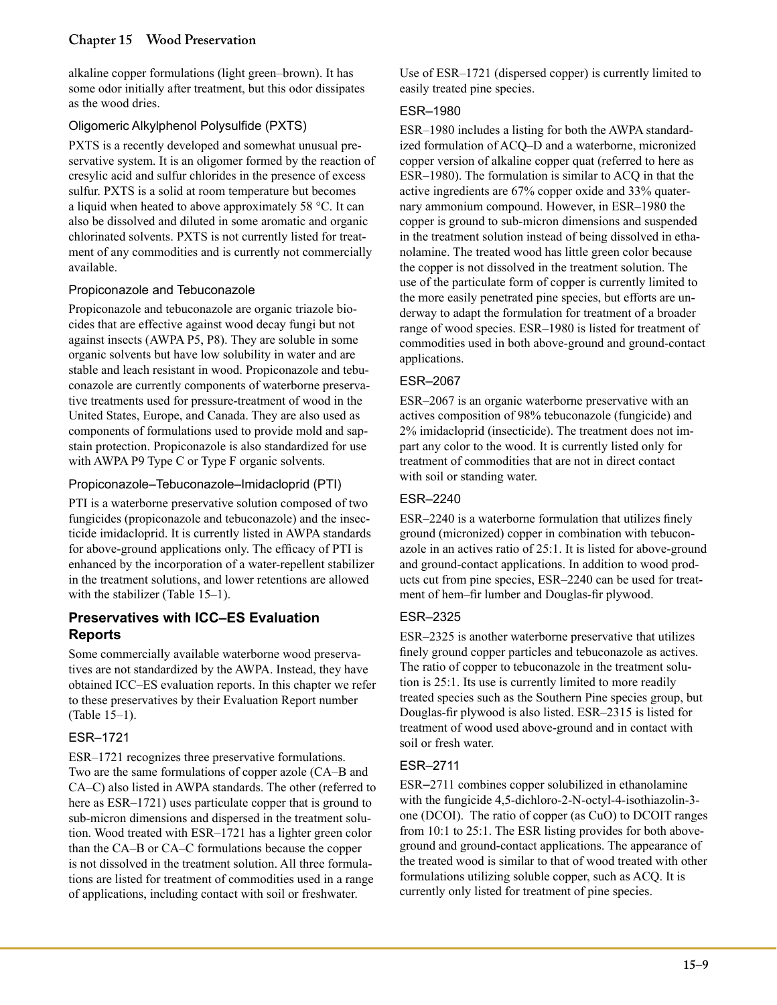alkaline copper formulations (light green–brown). It has some odor initially after treatment, but this odor dissipates as the wood dries.

### Oligomeric Alkylphenol Polysulfide (PXTS)

PXTS is a recently developed and somewhat unusual preservative system. It is an oligomer formed by the reaction of cresylic acid and sulfur chlorides in the presence of excess sulfur. PXTS is a solid at room temperature but becomes a liquid when heated to above approximately 58 °C. It can also be dissolved and diluted in some aromatic and organic chlorinated solvents. PXTS is not currently listed for treatment of any commodities and is currently not commercially available.

### Propiconazole and Tebuconazole

Propiconazole and tebuconazole are organic triazole biocides that are effective against wood decay fungi but not against insects (AWPA P5, P8). They are soluble in some organic solvents but have low solubility in water and are stable and leach resistant in wood. Propiconazole and tebuconazole are currently components of waterborne preservative treatments used for pressure-treatment of wood in the United States, Europe, and Canada. They are also used as components of formulations used to provide mold and sapstain protection. Propiconazole is also standardized for use with AWPA P9 Type C or Type F organic solvents.

### Propiconazole–Tebuconazole–Imidacloprid (PTI)

PTI is a waterborne preservative solution composed of two fungicides (propiconazole and tebuconazole) and the insecticide imidacloprid. It is currently listed in AWPA standards for above-ground applications only. The efficacy of PTI is enhanced by the incorporation of a water-repellent stabilizer in the treatment solutions, and lower retentions are allowed with the stabilizer (Table 15–1).

### **Preservatives with ICC–ES Evaluation Reports**

Some commercially available waterborne wood preservatives are not standardized by the AWPA. Instead, they have obtained ICC–ES evaluation reports. In this chapter we refer to these preservatives by their Evaluation Report number (Table 15–1).

### ESR–1721

ESR–1721 recognizes three preservative formulations. Two are the same formulations of copper azole (CA–B and CA–C) also listed in AWPA standards. The other (referred to here as ESR–1721) uses particulate copper that is ground to sub-micron dimensions and dispersed in the treatment solution. Wood treated with ESR–1721 has a lighter green color than the CA–B or CA–C formulations because the copper is not dissolved in the treatment solution. All three formulations are listed for treatment of commodities used in a range of applications, including contact with soil or freshwater.

Use of ESR–1721 (dispersed copper) is currently limited to easily treated pine species.

### ESR–1980

ESR–1980 includes a listing for both the AWPA standardized formulation of ACQ–D and a waterborne, micronized copper version of alkaline copper quat (referred to here as ESR–1980). The formulation is similar to ACQ in that the active ingredients are 67% copper oxide and 33% quaternary ammonium compound. However, in ESR–1980 the copper is ground to sub-micron dimensions and suspended in the treatment solution instead of being dissolved in ethanolamine. The treated wood has little green color because the copper is not dissolved in the treatment solution. The use of the particulate form of copper is currently limited to the more easily penetrated pine species, but efforts are underway to adapt the formulation for treatment of a broader range of wood species. ESR–1980 is listed for treatment of commodities used in both above-ground and ground-contact applications.

### ESR–2067

ESR–2067 is an organic waterborne preservative with an actives composition of 98% tebuconazole (fungicide) and 2% imidacloprid (insecticide). The treatment does not impart any color to the wood. It is currently listed only for treatment of commodities that are not in direct contact with soil or standing water.

### ESR–2240

ESR–2240 is a waterborne formulation that utilizes finely ground (micronized) copper in combination with tebuconazole in an actives ratio of 25:1. It is listed for above-ground and ground-contact applications. In addition to wood products cut from pine species, ESR–2240 can be used for treatment of hem–fir lumber and Douglas-fir plywood.

### ESR–2325

ESR–2325 is another waterborne preservative that utilizes finely ground copper particles and tebuconazole as actives. The ratio of copper to tebuconazole in the treatment solution is 25:1. Its use is currently limited to more readily treated species such as the Southern Pine species group, but Douglas-fir plywood is also listed. ESR–2315 is listed for treatment of wood used above-ground and in contact with soil or fresh water.

### ESR–2711

ESR–2711 combines copper solubilized in ethanolamine with the fungicide 4,5-dichloro-2-N-octyl-4-isothiazolin-3one (DCOI). The ratio of copper (as CuO) to DCOIT ranges from 10:1 to 25:1. The ESR listing provides for both aboveground and ground-contact applications. The appearance of the treated wood is similar to that of wood treated with other formulations utilizing soluble copper, such as ACQ. It is currently only listed for treatment of pine species.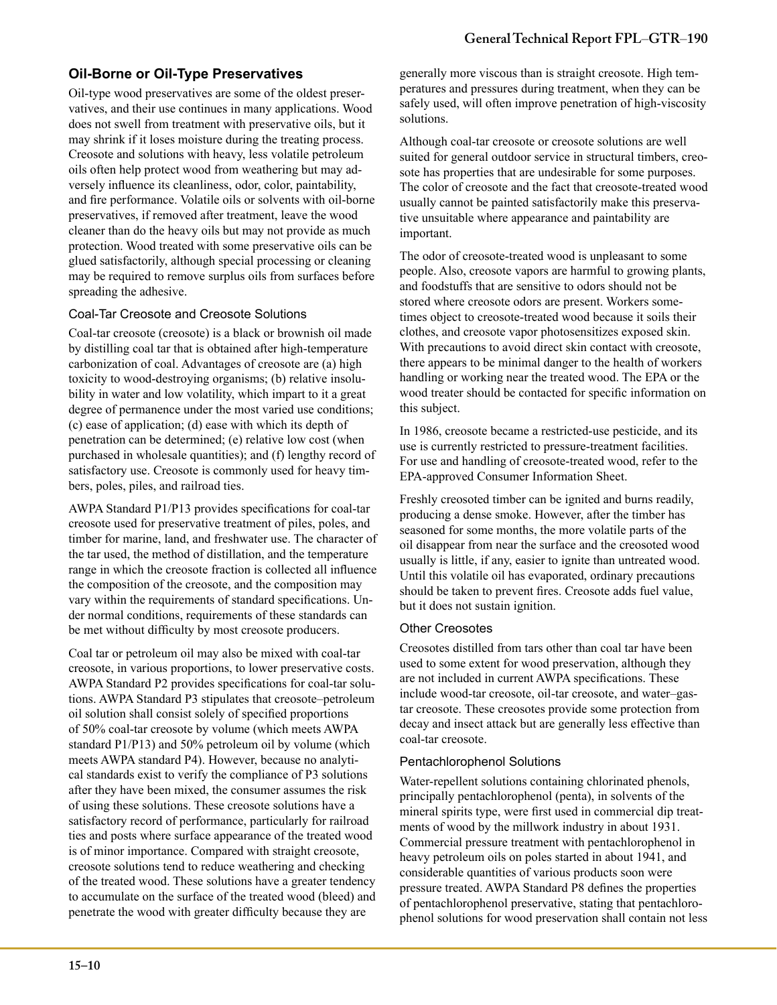### **Oil-Borne or Oil-Type Preservatives**

Oil-type wood preservatives are some of the oldest preservatives, and their use continues in many applications. Wood does not swell from treatment with preservative oils, but it may shrink if it loses moisture during the treating process. Creosote and solutions with heavy, less volatile petroleum oils often help protect wood from weathering but may adversely influence its cleanliness, odor, color, paintability, and fire performance. Volatile oils or solvents with oil-borne preservatives, if removed after treatment, leave the wood cleaner than do the heavy oils but may not provide as much protection. Wood treated with some preservative oils can be glued satisfactorily, although special processing or cleaning may be required to remove surplus oils from surfaces before spreading the adhesive.

### Coal-Tar Creosote and Creosote Solutions

Coal-tar creosote (creosote) is a black or brownish oil made by distilling coal tar that is obtained after high-temperature carbonization of coal. Advantages of creosote are (a) high toxicity to wood-destroying organisms; (b) relative insolubility in water and low volatility, which impart to it a great degree of permanence under the most varied use conditions; (c) ease of application; (d) ease with which its depth of penetration can be determined; (e) relative low cost (when purchased in wholesale quantities); and (f) lengthy record of satisfactory use. Creosote is commonly used for heavy timbers, poles, piles, and railroad ties.

AWPA Standard P1/P13 provides specifications for coal-tar creosote used for preservative treatment of piles, poles, and timber for marine, land, and freshwater use. The character of the tar used, the method of distillation, and the temperature range in which the creosote fraction is collected all influence the composition of the creosote, and the composition may vary within the requirements of standard specifications. Under normal conditions, requirements of these standards can be met without difficulty by most creosote producers.

Coal tar or petroleum oil may also be mixed with coal-tar creosote, in various proportions, to lower preservative costs. AWPA Standard P2 provides specifications for coal-tar solutions. AWPA Standard P3 stipulates that creosote–petroleum oil solution shall consist solely of specified proportions of 50% coal-tar creosote by volume (which meets AWPA standard P1/P13) and 50% petroleum oil by volume (which meets AWPA standard P4). However, because no analytical standards exist to verify the compliance of P3 solutions after they have been mixed, the consumer assumes the risk of using these solutions. These creosote solutions have a satisfactory record of performance, particularly for railroad ties and posts where surface appearance of the treated wood is of minor importance. Compared with straight creosote, creosote solutions tend to reduce weathering and checking of the treated wood. These solutions have a greater tendency to accumulate on the surface of the treated wood (bleed) and penetrate the wood with greater difficulty because they are

generally more viscous than is straight creosote. High temperatures and pressures during treatment, when they can be safely used, will often improve penetration of high-viscosity solutions.

Although coal-tar creosote or creosote solutions are well suited for general outdoor service in structural timbers, creosote has properties that are undesirable for some purposes. The color of creosote and the fact that creosote-treated wood usually cannot be painted satisfactorily make this preservative unsuitable where appearance and paintability are important.

The odor of creosote-treated wood is unpleasant to some people. Also, creosote vapors are harmful to growing plants, and foodstuffs that are sensitive to odors should not be stored where creosote odors are present. Workers sometimes object to creosote-treated wood because it soils their clothes, and creosote vapor photosensitizes exposed skin. With precautions to avoid direct skin contact with creosote, there appears to be minimal danger to the health of workers handling or working near the treated wood. The EPA or the wood treater should be contacted for specific information on this subject.

In 1986, creosote became a restricted-use pesticide, and its use is currently restricted to pressure-treatment facilities. For use and handling of creosote-treated wood, refer to the EPA-approved Consumer Information Sheet.

Freshly creosoted timber can be ignited and burns readily, producing a dense smoke. However, after the timber has seasoned for some months, the more volatile parts of the oil disappear from near the surface and the creosoted wood usually is little, if any, easier to ignite than untreated wood. Until this volatile oil has evaporated, ordinary precautions should be taken to prevent fires. Creosote adds fuel value, but it does not sustain ignition.

#### Other Creosotes

Creosotes distilled from tars other than coal tar have been used to some extent for wood preservation, although they are not included in current AWPA specifications. These include wood-tar creosote, oil-tar creosote, and water–gastar creosote. These creosotes provide some protection from decay and insect attack but are generally less effective than coal-tar creosote.

### Pentachlorophenol Solutions

Water-repellent solutions containing chlorinated phenols, principally pentachlorophenol (penta), in solvents of the mineral spirits type, were first used in commercial dip treatments of wood by the millwork industry in about 1931. Commercial pressure treatment with pentachlorophenol in heavy petroleum oils on poles started in about 1941, and considerable quantities of various products soon were pressure treated. AWPA Standard P8 defines the properties of pentachlorophenol preservative, stating that pentachlorophenol solutions for wood preservation shall contain not less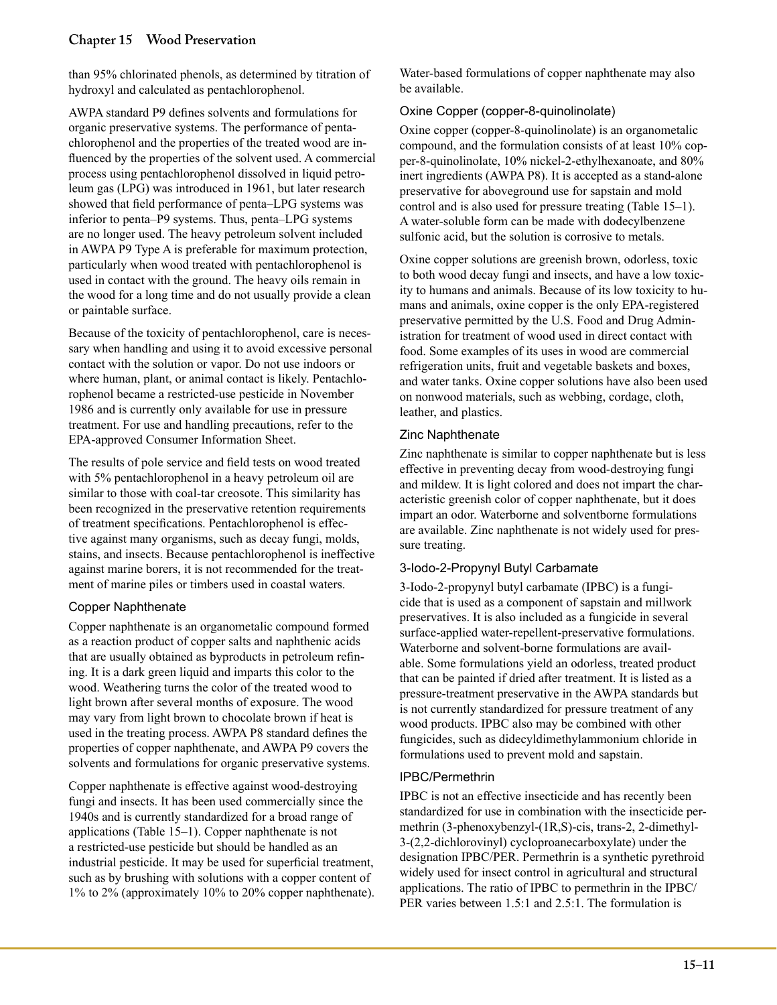than 95% chlorinated phenols, as determined by titration of hydroxyl and calculated as pentachlorophenol.

AWPA standard P9 defines solvents and formulations for organic preservative systems. The performance of pentachlorophenol and the properties of the treated wood are influenced by the properties of the solvent used. A commercial process using pentachlorophenol dissolved in liquid petroleum gas (LPG) was introduced in 1961, but later research showed that field performance of penta–LPG systems was inferior to penta–P9 systems. Thus, penta–LPG systems are no longer used. The heavy petroleum solvent included in AWPA P9 Type A is preferable for maximum protection, particularly when wood treated with pentachlorophenol is used in contact with the ground. The heavy oils remain in the wood for a long time and do not usually provide a clean or paintable surface.

Because of the toxicity of pentachlorophenol, care is necessary when handling and using it to avoid excessive personal contact with the solution or vapor. Do not use indoors or where human, plant, or animal contact is likely. Pentachlorophenol became a restricted-use pesticide in November 1986 and is currently only available for use in pressure treatment. For use and handling precautions, refer to the EPA-approved Consumer Information Sheet.

The results of pole service and field tests on wood treated with 5% pentachlorophenol in a heavy petroleum oil are similar to those with coal-tar creosote. This similarity has been recognized in the preservative retention requirements of treatment specifications. Pentachlorophenol is effective against many organisms, such as decay fungi, molds, stains, and insects. Because pentachlorophenol is ineffective against marine borers, it is not recommended for the treatment of marine piles or timbers used in coastal waters.

### Copper Naphthenate

Copper naphthenate is an organometalic compound formed as a reaction product of copper salts and naphthenic acids that are usually obtained as byproducts in petroleum refining. It is a dark green liquid and imparts this color to the wood. Weathering turns the color of the treated wood to light brown after several months of exposure. The wood may vary from light brown to chocolate brown if heat is used in the treating process. AWPA P8 standard defines the properties of copper naphthenate, and AWPA P9 covers the solvents and formulations for organic preservative systems.

Copper naphthenate is effective against wood-destroying fungi and insects. It has been used commercially since the 1940s and is currently standardized for a broad range of applications (Table 15–1). Copper naphthenate is not a restricted-use pesticide but should be handled as an industrial pesticide. It may be used for superficial treatment, such as by brushing with solutions with a copper content of 1% to 2% (approximately 10% to 20% copper naphthenate). Water-based formulations of copper naphthenate may also be available.

### Oxine Copper (copper-8-quinolinolate)

Oxine copper (copper-8-quinolinolate) is an organometalic compound, and the formulation consists of at least 10% copper-8-quinolinolate, 10% nickel-2-ethylhexanoate, and 80% inert ingredients (AWPA P8). It is accepted as a stand-alone preservative for aboveground use for sapstain and mold control and is also used for pressure treating (Table 15–1). A water-soluble form can be made with dodecylbenzene sulfonic acid, but the solution is corrosive to metals.

Oxine copper solutions are greenish brown, odorless, toxic to both wood decay fungi and insects, and have a low toxicity to humans and animals. Because of its low toxicity to humans and animals, oxine copper is the only EPA-registered preservative permitted by the U.S. Food and Drug Administration for treatment of wood used in direct contact with food. Some examples of its uses in wood are commercial refrigeration units, fruit and vegetable baskets and boxes, and water tanks. Oxine copper solutions have also been used on nonwood materials, such as webbing, cordage, cloth, leather, and plastics.

### Zinc Naphthenate

Zinc naphthenate is similar to copper naphthenate but is less effective in preventing decay from wood-destroying fungi and mildew. It is light colored and does not impart the characteristic greenish color of copper naphthenate, but it does impart an odor. Waterborne and solventborne formulations are available. Zinc naphthenate is not widely used for pressure treating.

### 3-Iodo-2-Propynyl Butyl Carbamate

3-Iodo-2-propynyl butyl carbamate (IPBC) is a fungicide that is used as a component of sapstain and millwork preservatives. It is also included as a fungicide in several surface-applied water-repellent-preservative formulations. Waterborne and solvent-borne formulations are available. Some formulations yield an odorless, treated product that can be painted if dried after treatment. It is listed as a pressure-treatment preservative in the AWPA standards but is not currently standardized for pressure treatment of any wood products. IPBC also may be combined with other fungicides, such as didecyldimethylammonium chloride in formulations used to prevent mold and sapstain.

### IPBC/Permethrin

IPBC is not an effective insecticide and has recently been standardized for use in combination with the insecticide permethrin (3-phenoxybenzyl-(1R,S)-cis, trans-2, 2-dimethyl-3-(2,2-dichlorovinyl) cycloproanecarboxylate) under the designation IPBC/PER. Permethrin is a synthetic pyrethroid widely used for insect control in agricultural and structural applications. The ratio of IPBC to permethrin in the IPBC/ PER varies between 1.5:1 and 2.5:1. The formulation is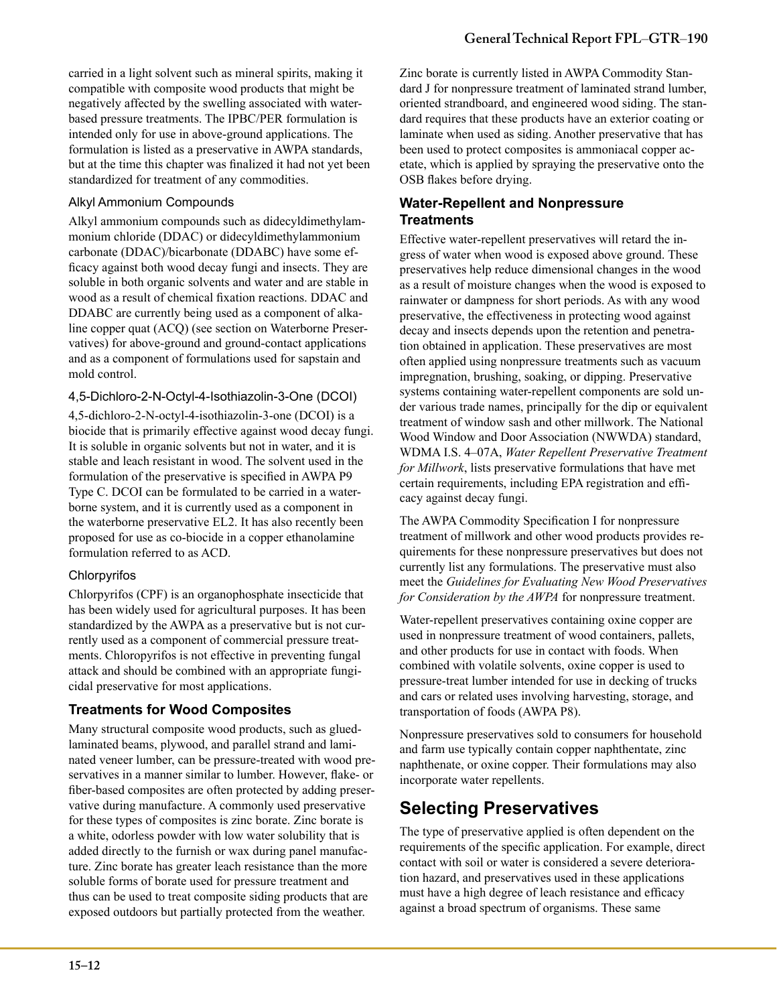carried in a light solvent such as mineral spirits, making it compatible with composite wood products that might be negatively affected by the swelling associated with waterbased pressure treatments. The IPBC/PER formulation is intended only for use in above-ground applications. The formulation is listed as a preservative in AWPA standards, but at the time this chapter was finalized it had not yet been standardized for treatment of any commodities.

### Alkyl Ammonium Compounds

Alkyl ammonium compounds such as didecyldimethylammonium chloride (DDAC) or didecyldimethylammonium carbonate (DDAC)/bicarbonate (DDABC) have some efficacy against both wood decay fungi and insects. They are soluble in both organic solvents and water and are stable in wood as a result of chemical fixation reactions. DDAC and DDABC are currently being used as a component of alkaline copper quat (ACQ) (see section on Waterborne Preservatives) for above-ground and ground-contact applications and as a component of formulations used for sapstain and mold control.

### 4,5-Dichloro-2-N-Octyl-4-Isothiazolin-3-One (DCOI)

4,5-dichloro-2-N-octyl-4-isothiazolin-3-one (DCOI) is a biocide that is primarily effective against wood decay fungi. It is soluble in organic solvents but not in water, and it is stable and leach resistant in wood. The solvent used in the formulation of the preservative is specified in AWPA P9 Type C. DCOI can be formulated to be carried in a waterborne system, and it is currently used as a component in the waterborne preservative EL2. It has also recently been proposed for use as co-biocide in a copper ethanolamine formulation referred to as ACD.

### Chlorpyrifos

Chlorpyrifos (CPF) is an organophosphate insecticide that has been widely used for agricultural purposes. It has been standardized by the AWPA as a preservative but is not currently used as a component of commercial pressure treatments. Chloropyrifos is not effective in preventing fungal attack and should be combined with an appropriate fungicidal preservative for most applications.

### **Treatments for Wood Composites**

Many structural composite wood products, such as gluedlaminated beams, plywood, and parallel strand and laminated veneer lumber, can be pressure-treated with wood preservatives in a manner similar to lumber. However, flake- or fiber-based composites are often protected by adding preservative during manufacture. A commonly used preservative for these types of composites is zinc borate. Zinc borate is a white, odorless powder with low water solubility that is added directly to the furnish or wax during panel manufacture. Zinc borate has greater leach resistance than the more soluble forms of borate used for pressure treatment and thus can be used to treat composite siding products that are exposed outdoors but partially protected from the weather.

Zinc borate is currently listed in AWPA Commodity Standard J for nonpressure treatment of laminated strand lumber, oriented strandboard, and engineered wood siding. The standard requires that these products have an exterior coating or laminate when used as siding. Another preservative that has been used to protect composites is ammoniacal copper acetate, which is applied by spraying the preservative onto the OSB flakes before drying.

### **Water-Repellent and Nonpressure Treatments**

Effective water-repellent preservatives will retard the ingress of water when wood is exposed above ground. These preservatives help reduce dimensional changes in the wood as a result of moisture changes when the wood is exposed to rainwater or dampness for short periods. As with any wood preservative, the effectiveness in protecting wood against decay and insects depends upon the retention and penetration obtained in application. These preservatives are most often applied using nonpressure treatments such as vacuum impregnation, brushing, soaking, or dipping. Preservative systems containing water-repellent components are sold under various trade names, principally for the dip or equivalent treatment of window sash and other millwork. The National Wood Window and Door Association (NWWDA) standard, WDMA I.S. 4–07A, *Water Repellent Preservative Treatment for Millwork*, lists preservative formulations that have met certain requirements, including EPA registration and efficacy against decay fungi.

The AWPA Commodity Specification I for nonpressure treatment of millwork and other wood products provides requirements for these nonpressure preservatives but does not currently list any formulations. The preservative must also meet the *Guidelines for Evaluating New Wood Preservatives for Consideration by the AWPA* for nonpressure treatment.

Water-repellent preservatives containing oxine copper are used in nonpressure treatment of wood containers, pallets, and other products for use in contact with foods. When combined with volatile solvents, oxine copper is used to pressure-treat lumber intended for use in decking of trucks and cars or related uses involving harvesting, storage, and transportation of foods (AWPA P8).

Nonpressure preservatives sold to consumers for household and farm use typically contain copper naphthentate, zinc naphthenate, or oxine copper. Their formulations may also incorporate water repellents.

# **Selecting Preservatives**

The type of preservative applied is often dependent on the requirements of the specific application. For example, direct contact with soil or water is considered a severe deterioration hazard, and preservatives used in these applications must have a high degree of leach resistance and efficacy against a broad spectrum of organisms. These same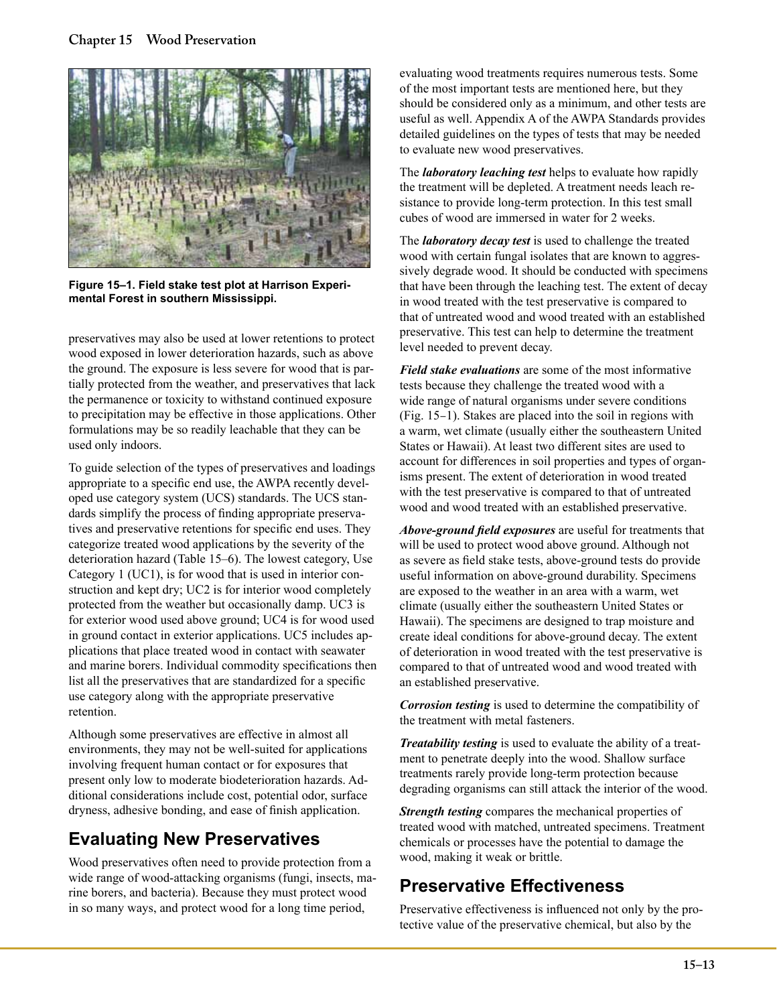

**Figure 15–1. Field stake test plot at Harrison Experimental Forest in southern Mississippi.**

preservatives may also be used at lower retentions to protect wood exposed in lower deterioration hazards, such as above the ground. The exposure is less severe for wood that is partially protected from the weather, and preservatives that lack the permanence or toxicity to withstand continued exposure to precipitation may be effective in those applications. Other formulations may be so readily leachable that they can be used only indoors.

To guide selection of the types of preservatives and loadings appropriate to a specific end use, the AWPA recently developed use category system (UCS) standards. The UCS standards simplify the process of finding appropriate preservatives and preservative retentions for specific end uses. They categorize treated wood applications by the severity of the deterioration hazard (Table 15–6). The lowest category, Use Category 1 (UC1), is for wood that is used in interior construction and kept dry; UC2 is for interior wood completely protected from the weather but occasionally damp. UC3 is for exterior wood used above ground; UC4 is for wood used in ground contact in exterior applications. UC5 includes applications that place treated wood in contact with seawater and marine borers. Individual commodity specifications then list all the preservatives that are standardized for a specific use category along with the appropriate preservative retention.

Although some preservatives are effective in almost all environments, they may not be well-suited for applications involving frequent human contact or for exposures that present only low to moderate biodeterioration hazards. Additional considerations include cost, potential odor, surface dryness, adhesive bonding, and ease of finish application.

# **Evaluating New Preservatives**

Wood preservatives often need to provide protection from a wide range of wood-attacking organisms (fungi, insects, marine borers, and bacteria). Because they must protect wood in so many ways, and protect wood for a long time period,

evaluating wood treatments requires numerous tests. Some of the most important tests are mentioned here, but they should be considered only as a minimum, and other tests are useful as well. Appendix A of the AWPA Standards provides detailed guidelines on the types of tests that may be needed to evaluate new wood preservatives.

The *laboratory leaching test* helps to evaluate how rapidly the treatment will be depleted. A treatment needs leach resistance to provide long-term protection. In this test small cubes of wood are immersed in water for 2 weeks.

The *laboratory decay test* is used to challenge the treated wood with certain fungal isolates that are known to aggressively degrade wood. It should be conducted with specimens that have been through the leaching test. The extent of decay in wood treated with the test preservative is compared to that of untreated wood and wood treated with an established preservative. This test can help to determine the treatment level needed to prevent decay.

*Field stake evaluations* are some of the most informative tests because they challenge the treated wood with a wide range of natural organisms under severe conditions (Fig. 15–1). Stakes are placed into the soil in regions with a warm, wet climate (usually either the southeastern United States or Hawaii). At least two different sites are used to account for differences in soil properties and types of organisms present. The extent of deterioration in wood treated with the test preservative is compared to that of untreated wood and wood treated with an established preservative.

*Above-ground field exposures* are useful for treatments that will be used to protect wood above ground. Although not as severe as field stake tests, above-ground tests do provide useful information on above-ground durability. Specimens are exposed to the weather in an area with a warm, wet climate (usually either the southeastern United States or Hawaii). The specimens are designed to trap moisture and create ideal conditions for above-ground decay. The extent of deterioration in wood treated with the test preservative is compared to that of untreated wood and wood treated with an established preservative.

*Corrosion testing* is used to determine the compatibility of the treatment with metal fasteners.

*Treatability testing* is used to evaluate the ability of a treatment to penetrate deeply into the wood. Shallow surface treatments rarely provide long-term protection because degrading organisms can still attack the interior of the wood.

**Strength testing** compares the mechanical properties of treated wood with matched, untreated specimens. Treatment chemicals or processes have the potential to damage the wood, making it weak or brittle.

# **Preservative Effectiveness**

Preservative effectiveness is influenced not only by the protective value of the preservative chemical, but also by the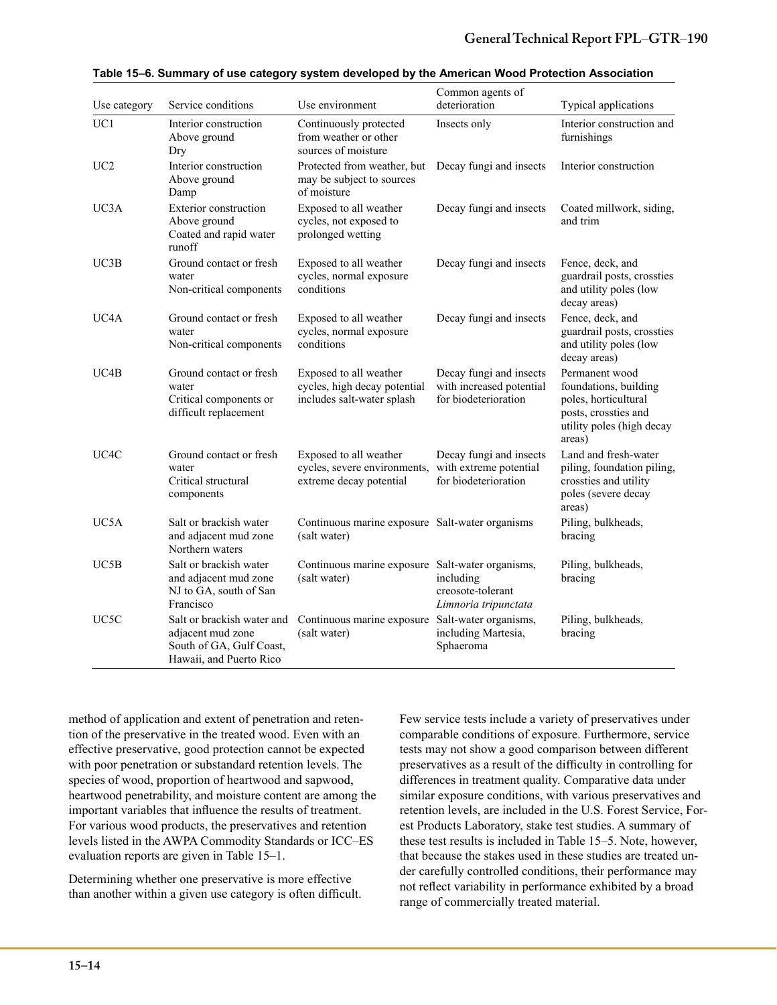| Use category    | Service conditions                                                                                     | Use environment                                                                                          | Common agents of<br>deterioration                                           | Typical applications                                                                                                           |
|-----------------|--------------------------------------------------------------------------------------------------------|----------------------------------------------------------------------------------------------------------|-----------------------------------------------------------------------------|--------------------------------------------------------------------------------------------------------------------------------|
| UC1             | Interior construction<br>Above ground<br>Dry                                                           | Continuously protected<br>from weather or other<br>sources of moisture                                   | Insects only                                                                | Interior construction and<br>furnishings                                                                                       |
| UC <sub>2</sub> | Interior construction<br>Above ground<br>Damp                                                          | Protected from weather, but<br>may be subject to sources<br>of moisture                                  | Decay fungi and insects                                                     | Interior construction                                                                                                          |
| UC3A            | Exterior construction<br>Above ground<br>Coated and rapid water<br>runoff                              | Exposed to all weather<br>cycles, not exposed to<br>prolonged wetting                                    | Decay fungi and insects                                                     | Coated millwork, siding,<br>and trim                                                                                           |
| UC3B            | Ground contact or fresh<br>water<br>Non-critical components                                            | Exposed to all weather<br>cycles, normal exposure<br>conditions                                          | Decay fungi and insects                                                     | Fence, deck, and<br>guardrail posts, crossties<br>and utility poles (low<br>decay areas)                                       |
| UC4A            | Ground contact or fresh<br>water<br>Non-critical components                                            | Exposed to all weather<br>cycles, normal exposure<br>conditions                                          | Decay fungi and insects                                                     | Fence, deck, and<br>guardrail posts, crossties<br>and utility poles (low<br>decay areas)                                       |
| UC4B            | Ground contact or fresh<br>water<br>Critical components or<br>difficult replacement                    | Exposed to all weather<br>cycles, high decay potential<br>includes salt-water splash                     | Decay fungi and insects<br>with increased potential<br>for biodeterioration | Permanent wood<br>foundations, building<br>poles, horticultural<br>posts, crossties and<br>utility poles (high decay<br>areas) |
| UC4C            | Ground contact or fresh<br>water<br>Critical structural<br>components                                  | Exposed to all weather<br>cycles, severe environments, with extreme potential<br>extreme decay potential | Decay fungi and insects<br>for biodeterioration                             | Land and fresh-water<br>piling, foundation piling,<br>crossties and utility<br>poles (severe decay<br>areas)                   |
| UC5A            | Salt or brackish water<br>and adjacent mud zone<br>Northern waters                                     | Continuous marine exposure Salt-water organisms<br>(salt water)                                          |                                                                             | Piling, bulkheads,<br>bracing                                                                                                  |
| UC5B            | Salt or brackish water<br>and adjacent mud zone<br>NJ to GA, south of San<br>Francisco                 | Continuous marine exposure Salt-water organisms,<br>(salt water)                                         | including<br>creosote-tolerant<br>Limnoria tripunctata                      | Piling, bulkheads,<br>bracing                                                                                                  |
| UC5C            | Salt or brackish water and<br>adjacent mud zone<br>South of GA, Gulf Coast,<br>Hawaii, and Puerto Rico | Continuous marine exposure Salt-water organisms,<br>(salt water)                                         | including Martesia,<br>Sphaeroma                                            | Piling, bulkheads,<br>bracing                                                                                                  |

**Table 15–6. Summary of use category system developed by the American Wood Protection Association** 

method of application and extent of penetration and retention of the preservative in the treated wood. Even with an effective preservative, good protection cannot be expected with poor penetration or substandard retention levels. The species of wood, proportion of heartwood and sapwood, heartwood penetrability, and moisture content are among the important variables that influence the results of treatment. For various wood products, the preservatives and retention levels listed in the AWPA Commodity Standards or ICC–ES evaluation reports are given in Table 15–1.

Determining whether one preservative is more effective than another within a given use category is often difficult. Few service tests include a variety of preservatives under comparable conditions of exposure. Furthermore, service tests may not show a good comparison between different preservatives as a result of the difficulty in controlling for differences in treatment quality. Comparative data under similar exposure conditions, with various preservatives and retention levels, are included in the U.S. Forest Service, Forest Products Laboratory, stake test studies. A summary of these test results is included in Table 15–5. Note, however, that because the stakes used in these studies are treated under carefully controlled conditions, their performance may not reflect variability in performance exhibited by a broad range of commercially treated material.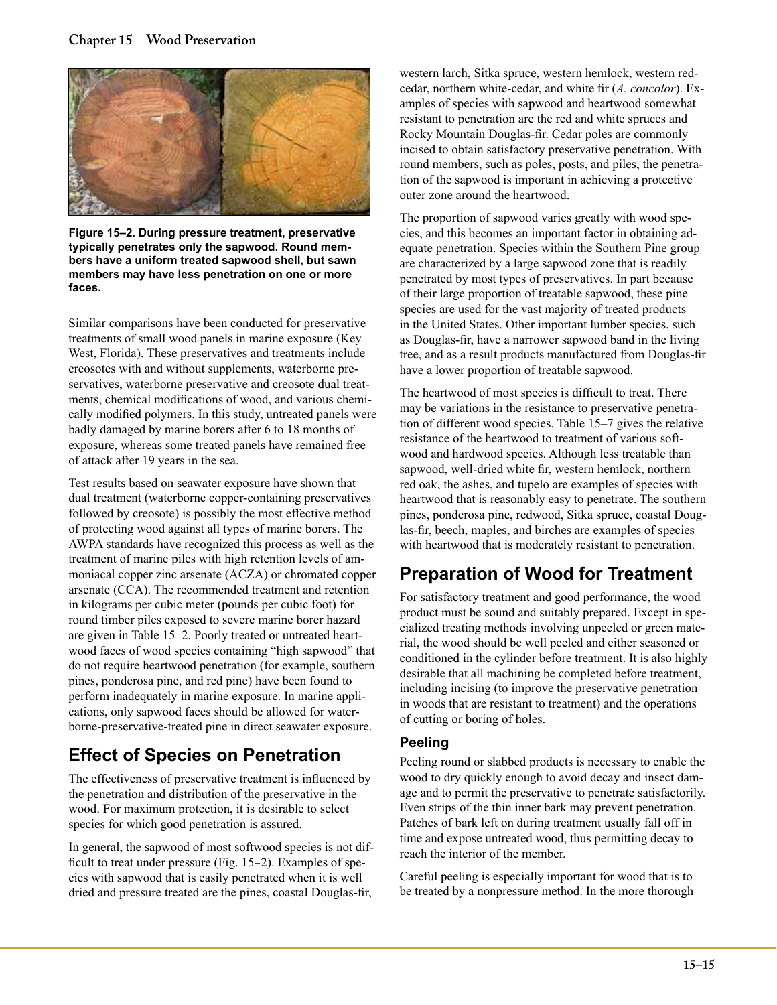

**Figure 15–2. During pressure treatment, preservative typically penetrates only the sapwood. Round members have a uniform treated sapwood shell, but sawn members may have less penetration on one or more faces.**

Similar comparisons have been conducted for preservative treatments of small wood panels in marine exposure (Key West, Florida). These preservatives and treatments include creosotes with and without supplements, waterborne preservatives, waterborne preservative and creosote dual treatments, chemical modifications of wood, and various chemically modified polymers. In this study, untreated panels were badly damaged by marine borers after 6 to 18 months of exposure, whereas some treated panels have remained free of attack after 19 years in the sea.

Test results based on seawater exposure have shown that dual treatment (waterborne copper-containing preservatives followed by creosote) is possibly the most effective method of protecting wood against all types of marine borers. The AWPA standards have recognized this process as well as the treatment of marine piles with high retention levels of ammoniacal copper zinc arsenate (ACZA) or chromated copper arsenate (CCA). The recommended treatment and retention in kilograms per cubic meter (pounds per cubic foot) for round timber piles exposed to severe marine borer hazard are given in Table 15–2. Poorly treated or untreated heartwood faces of wood species containing "high sapwood" that do not require heartwood penetration (for example, southern pines, ponderosa pine, and red pine) have been found to perform inadequately in marine exposure. In marine applications, only sapwood faces should be allowed for waterborne-preservative-treated pine in direct seawater exposure.

# **Effect of Species on Penetration**

The effectiveness of preservative treatment is influenced by the penetration and distribution of the preservative in the wood. For maximum protection, it is desirable to select species for which good penetration is assured.

In general, the sapwood of most softwood species is not difficult to treat under pressure (Fig. 15–2). Examples of species with sapwood that is easily penetrated when it is well dried and pressure treated are the pines, coastal Douglas-fir,

western larch, Sitka spruce, western hemlock, western redcedar, northern white-cedar, and white fir (*A. concolor*). Examples of species with sapwood and heartwood somewhat resistant to penetration are the red and white spruces and Rocky Mountain Douglas-fir. Cedar poles are commonly incised to obtain satisfactory preservative penetration. With round members, such as poles, posts, and piles, the penetration of the sapwood is important in achieving a protective outer zone around the heartwood.

The proportion of sapwood varies greatly with wood species, and this becomes an important factor in obtaining adequate penetration. Species within the Southern Pine group are characterized by a large sapwood zone that is readily penetrated by most types of preservatives. In part because of their large proportion of treatable sapwood, these pine species are used for the vast majority of treated products in the United States. Other important lumber species, such as Douglas-fir, have a narrower sapwood band in the living tree, and as a result products manufactured from Douglas-fir have a lower proportion of treatable sapwood.

The heartwood of most species is difficult to treat. There may be variations in the resistance to preservative penetration of different wood species. Table 15–7 gives the relative resistance of the heartwood to treatment of various softwood and hardwood species. Although less treatable than sapwood, well-dried white fir, western hemlock, northern red oak, the ashes, and tupelo are examples of species with heartwood that is reasonably easy to penetrate. The southern pines, ponderosa pine, redwood, Sitka spruce, coastal Douglas-fir, beech, maples, and birches are examples of species with heartwood that is moderately resistant to penetration.

# **Preparation of Wood for Treatment**

For satisfactory treatment and good performance, the wood product must be sound and suitably prepared. Except in specialized treating methods involving unpeeled or green material, the wood should be well peeled and either seasoned or conditioned in the cylinder before treatment. It is also highly desirable that all machining be completed before treatment, including incising (to improve the preservative penetration in woods that are resistant to treatment) and the operations of cutting or boring of holes.

### **Peeling**

Peeling round or slabbed products is necessary to enable the wood to dry quickly enough to avoid decay and insect damage and to permit the preservative to penetrate satisfactorily. Even strips of the thin inner bark may prevent penetration. Patches of bark left on during treatment usually fall off in time and expose untreated wood, thus permitting decay to reach the interior of the member.

Careful peeling is especially important for wood that is to be treated by a nonpressure method. In the more thorough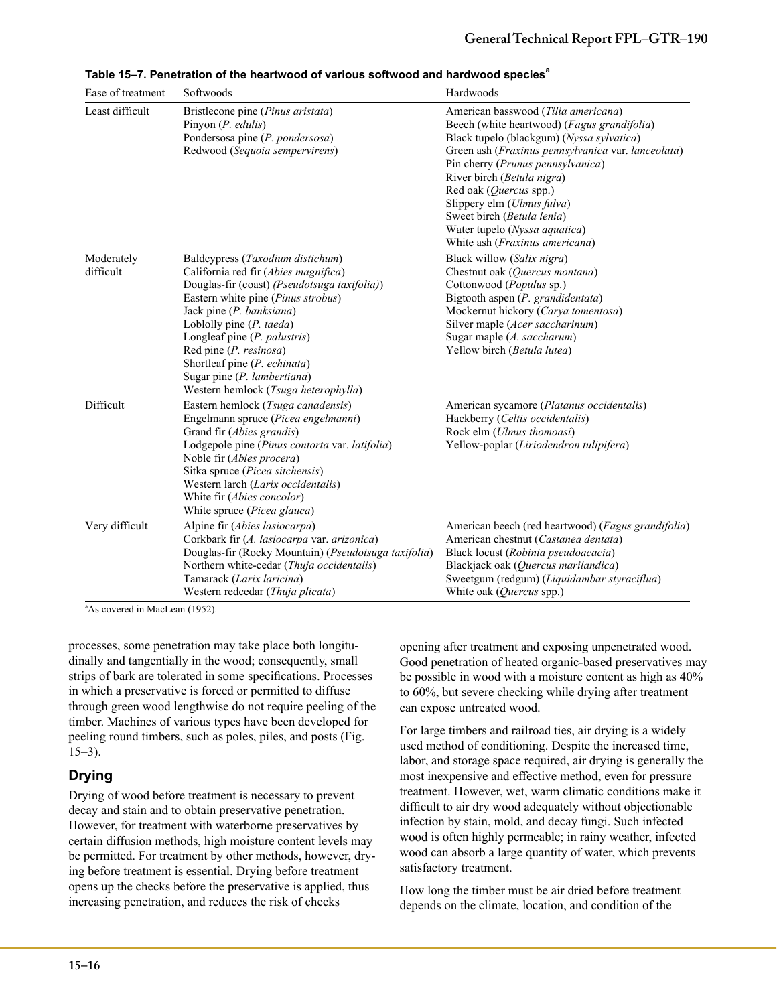| Ease of treatment       | Softwoods                                                                                                                                                                                                                                                                                                                                                                                 | Hardwoods                                                                                                                                                                                                                                                                                                                                                                                                         |
|-------------------------|-------------------------------------------------------------------------------------------------------------------------------------------------------------------------------------------------------------------------------------------------------------------------------------------------------------------------------------------------------------------------------------------|-------------------------------------------------------------------------------------------------------------------------------------------------------------------------------------------------------------------------------------------------------------------------------------------------------------------------------------------------------------------------------------------------------------------|
| Least difficult         | Bristlecone pine (Pinus aristata)<br>Pinyon (P. edulis)<br>Pondersosa pine (P. pondersosa)<br>Redwood (Sequoia sempervirens)                                                                                                                                                                                                                                                              | American basswood (Tilia americana)<br>Beech (white heartwood) (Fagus grandifolia)<br>Black tupelo (blackgum) (Nyssa sylvatica)<br>Green ash (Fraxinus pennsylvanica var. lanceolata)<br>Pin cherry (Prunus pennsylvanica)<br>River birch (Betula nigra)<br>Red oak (Quercus spp.)<br>Slippery elm (Ulmus fulva)<br>Sweet birch (Betula lenia)<br>Water tupelo (Nyssa aquatica)<br>White ash (Fraxinus americana) |
| Moderately<br>difficult | Baldcypress (Taxodium distichum)<br>California red fir (Abies magnifica)<br>Douglas-fir (coast) (Pseudotsuga taxifolia))<br>Eastern white pine (Pinus strobus)<br>Jack pine (P. banksiana)<br>Loblolly pine (P. taeda)<br>Longleaf pine (P. palustris)<br>Red pine (P. resinosa)<br>Shortleaf pine (P. echinata)<br>Sugar pine $(P.$ lambertiana)<br>Western hemlock (Tsuga heterophylla) | Black willow (Salix nigra)<br>Chestnut oak ( <i>Quercus montana</i> )<br>Cottonwood (Populus sp.)<br>Bigtooth aspen (P. grandidentata)<br>Mockernut hickory (Carya tomentosa)<br>Silver maple (Acer saccharinum)<br>Sugar maple (A. saccharum)<br>Yellow birch (Betula lutea)                                                                                                                                     |
| Difficult               | Eastern hemlock (Tsuga canadensis)<br>Engelmann spruce (Picea engelmanni)<br>Grand fir (Abies grandis)<br>Lodgepole pine (Pinus contorta var. latifolia)<br>Noble fir (Abies procera)<br>Sitka spruce (Picea sitchensis)<br>Western larch (Larix occidentalis)<br>White fir (Abies concolor)<br>White spruce (Picea glauca)                                                               | American sycamore (Platanus occidentalis)<br>Hackberry (Celtis occidentalis)<br>Rock elm (Ulmus thomoasi)<br>Yellow-poplar (Liriodendron tulipifera)                                                                                                                                                                                                                                                              |
| Very difficult          | Alpine fir (Abies lasiocarpa)<br>Corkbark fir (A. lasiocarpa var. arizonica)<br>Douglas-fir (Rocky Mountain) (Pseudotsuga taxifolia)<br>Northern white-cedar (Thuja occidentalis)<br>Tamarack (Larix laricina)<br>Western redcedar (Thuja plicata)                                                                                                                                        | American beech (red heartwood) (Fagus grandifolia)<br>American chestnut (Castanea dentata)<br>Black locust (Robinia pseudoacacia)<br>Blackjack oak (Quercus marilandica)<br>Sweetgum (redgum) (Liquidambar styraciflua)<br>White oak ( <i>Quercus</i> spp.)                                                                                                                                                       |

### **Table 15–7. Penetration of the heartwood of various softwood and hardwood species<sup>a</sup>**

a As covered in MacLean (1952).

processes, some penetration may take place both longitudinally and tangentially in the wood; consequently, small strips of bark are tolerated in some specifications. Processes in which a preservative is forced or permitted to diffuse through green wood lengthwise do not require peeling of the timber. Machines of various types have been developed for peeling round timbers, such as poles, piles, and posts (Fig. 15–3).

### **Drying**

Drying of wood before treatment is necessary to prevent decay and stain and to obtain preservative penetration. However, for treatment with waterborne preservatives by certain diffusion methods, high moisture content levels may be permitted. For treatment by other methods, however, drying before treatment is essential. Drying before treatment opens up the checks before the preservative is applied, thus increasing penetration, and reduces the risk of checks

opening after treatment and exposing unpenetrated wood. Good penetration of heated organic-based preservatives may be possible in wood with a moisture content as high as 40% to 60%, but severe checking while drying after treatment can expose untreated wood.

For large timbers and railroad ties, air drying is a widely used method of conditioning. Despite the increased time, labor, and storage space required, air drying is generally the most inexpensive and effective method, even for pressure treatment. However, wet, warm climatic conditions make it difficult to air dry wood adequately without objectionable infection by stain, mold, and decay fungi. Such infected wood is often highly permeable; in rainy weather, infected wood can absorb a large quantity of water, which prevents satisfactory treatment.

How long the timber must be air dried before treatment depends on the climate, location, and condition of the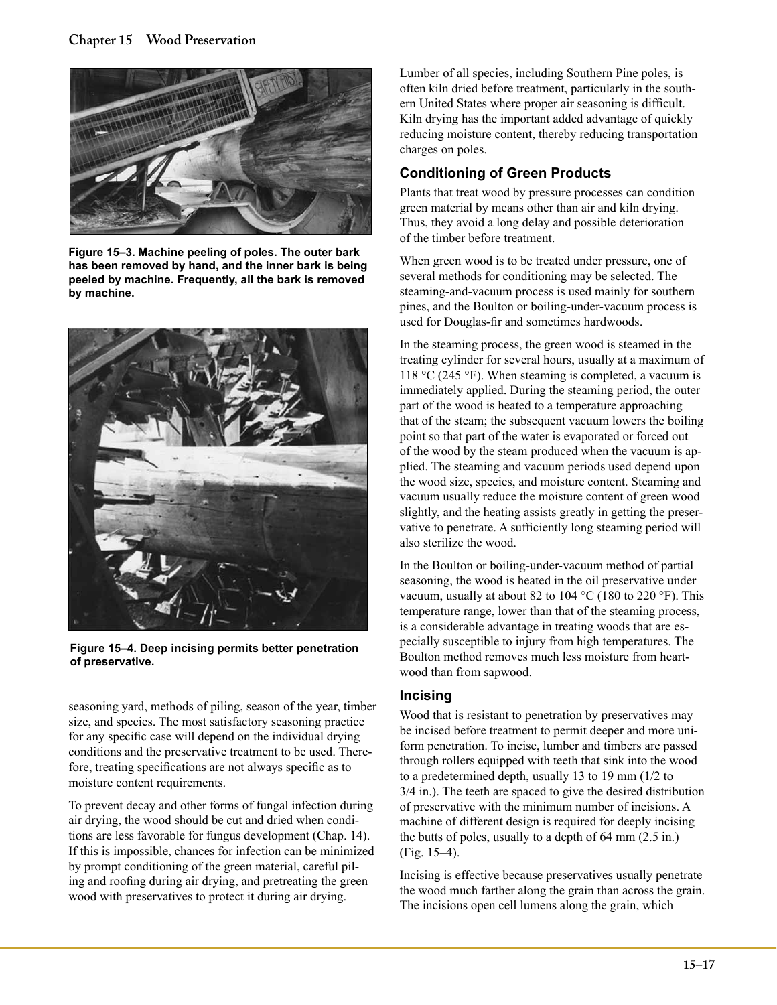

**Figure 15–3. Machine peeling of poles. The outer bark has been removed by hand, and the inner bark is being peeled by machine. Frequently, all the bark is removed by machine.**



**Figure 15–4. Deep incising permits better penetration of preservative.**

seasoning yard, methods of piling, season of the year, timber size, and species. The most satisfactory seasoning practice for any specific case will depend on the individual drying conditions and the preservative treatment to be used. Therefore, treating specifications are not always specific as to moisture content requirements.

To prevent decay and other forms of fungal infection during air drying, the wood should be cut and dried when conditions are less favorable for fungus development (Chap. 14). If this is impossible, chances for infection can be minimized by prompt conditioning of the green material, careful piling and roofing during air drying, and pretreating the green wood with preservatives to protect it during air drying.

Lumber of all species, including Southern Pine poles, is often kiln dried before treatment, particularly in the southern United States where proper air seasoning is difficult. Kiln drying has the important added advantage of quickly reducing moisture content, thereby reducing transportation charges on poles.

### **Conditioning of Green Products**

Plants that treat wood by pressure processes can condition green material by means other than air and kiln drying. Thus, they avoid a long delay and possible deterioration of the timber before treatment.

When green wood is to be treated under pressure, one of several methods for conditioning may be selected. The steaming-and-vacuum process is used mainly for southern pines, and the Boulton or boiling-under-vacuum process is used for Douglas-fir and sometimes hardwoods.

In the steaming process, the green wood is steamed in the treating cylinder for several hours, usually at a maximum of 118 °C (245 °F). When steaming is completed, a vacuum is immediately applied. During the steaming period, the outer part of the wood is heated to a temperature approaching that of the steam; the subsequent vacuum lowers the boiling point so that part of the water is evaporated or forced out of the wood by the steam produced when the vacuum is applied. The steaming and vacuum periods used depend upon the wood size, species, and moisture content. Steaming and vacuum usually reduce the moisture content of green wood slightly, and the heating assists greatly in getting the preservative to penetrate. A sufficiently long steaming period will also sterilize the wood.

In the Boulton or boiling-under-vacuum method of partial seasoning, the wood is heated in the oil preservative under vacuum, usually at about 82 to 104  $^{\circ}$ C (180 to 220  $^{\circ}$ F). This temperature range, lower than that of the steaming process, is a considerable advantage in treating woods that are especially susceptible to injury from high temperatures. The Boulton method removes much less moisture from heartwood than from sapwood.

### **Incising**

Wood that is resistant to penetration by preservatives may be incised before treatment to permit deeper and more uniform penetration. To incise, lumber and timbers are passed through rollers equipped with teeth that sink into the wood to a predetermined depth, usually 13 to 19 mm (1/2 to 3/4 in.). The teeth are spaced to give the desired distribution of preservative with the minimum number of incisions. A machine of different design is required for deeply incising the butts of poles, usually to a depth of 64 mm (2.5 in.) (Fig. 15–4).

Incising is effective because preservatives usually penetrate the wood much farther along the grain than across the grain. The incisions open cell lumens along the grain, which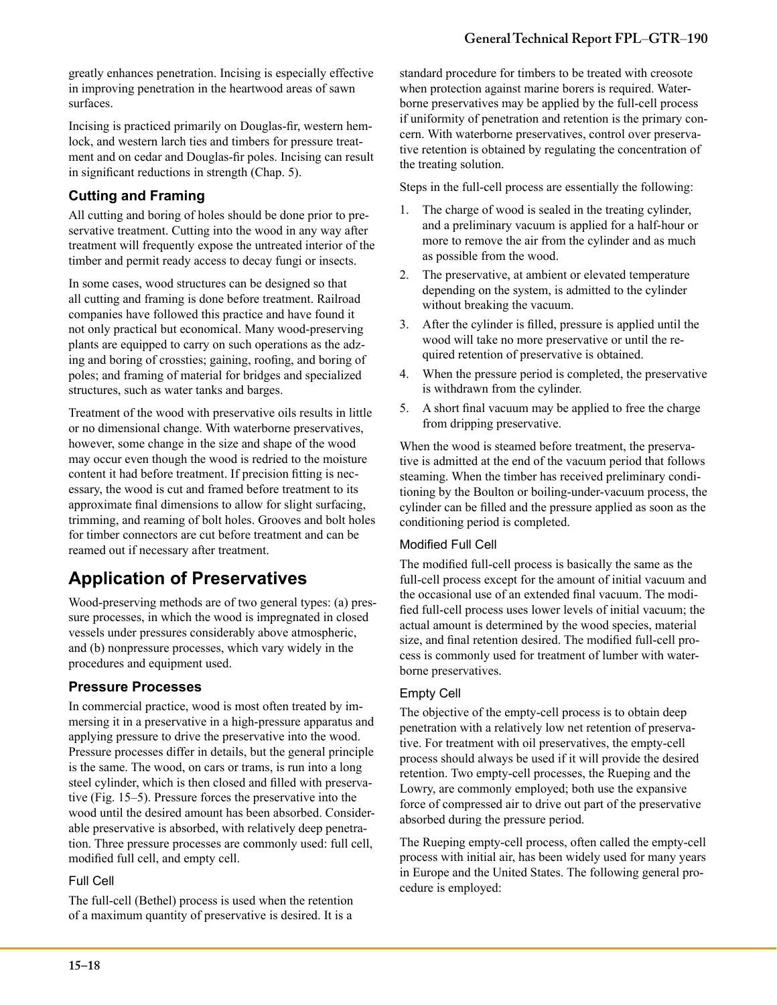greatly enhances penetration. Incising is especially effective in improving penetration in the heartwood areas of sawn surfaces.

Incising is practiced primarily on Douglas-fir, western hemlock, and western larch ties and timbers for pressure treatment and on cedar and Douglas-fir poles. Incising can result in significant reductions in strength (Chap. 5).

### **Cutting and Framing**

All cutting and boring of holes should be done prior to preservative treatment. Cutting into the wood in any way after treatment will frequently expose the untreated interior of the timber and permit ready access to decay fungi or insects.

In some cases, wood structures can be designed so that all cutting and framing is done before treatment. Railroad companies have followed this practice and have found it not only practical but economical. Many wood-preserving plants are equipped to carry on such operations as the adzing and boring of crossties; gaining, roofing, and boring of poles; and framing of material for bridges and specialized structures, such as water tanks and barges.

Treatment of the wood with preservative oils results in little or no dimensional change. With waterborne preservatives, however, some change in the size and shape of the wood may occur even though the wood is redried to the moisture content it had before treatment. If precision fitting is necessary, the wood is cut and framed before treatment to its approximate final dimensions to allow for slight surfacing, trimming, and reaming of bolt holes. Grooves and bolt holes for timber connectors are cut before treatment and can be reamed out if necessary after treatment.

# **Application of Preservatives**

Wood-preserving methods are of two general types: (a) pressure processes, in which the wood is impregnated in closed vessels under pressures considerably above atmospheric, and (b) nonpressure processes, which vary widely in the procedures and equipment used.

### **Pressure Processes**

In commercial practice, wood is most often treated by immersing it in a preservative in a high-pressure apparatus and applying pressure to drive the preservative into the wood. Pressure processes differ in details, but the general principle is the same. The wood, on cars or trams, is run into a long steel cylinder, which is then closed and filled with preservative (Fig. 15–5). Pressure forces the preservative into the wood until the desired amount has been absorbed. Considerable preservative is absorbed, with relatively deep penetration. Three pressure processes are commonly used: full cell, modified full cell, and empty cell.

### Full Cell

The full-cell (Bethel) process is used when the retention of a maximum quantity of preservative is desired. It is a

standard procedure for timbers to be treated with creosote when protection against marine borers is required. Waterborne preservatives may be applied by the full-cell process if uniformity of penetration and retention is the primary concern. With waterborne preservatives, control over preservative retention is obtained by regulating the concentration of the treating solution.

Steps in the full-cell process are essentially the following:

- 1. The charge of wood is sealed in the treating cylinder, and a preliminary vacuum is applied for a half-hour or more to remove the air from the cylinder and as much as possible from the wood.
- 2. The preservative, at ambient or elevated temperature depending on the system, is admitted to the cylinder without breaking the vacuum.
- 3. After the cylinder is filled, pressure is applied until the wood will take no more preservative or until the required retention of preservative is obtained.
- 4. When the pressure period is completed, the preservative is withdrawn from the cylinder.
- 5. A short final vacuum may be applied to free the charge from dripping preservative.

When the wood is steamed before treatment, the preservative is admitted at the end of the vacuum period that follows steaming. When the timber has received preliminary conditioning by the Boulton or boiling-under-vacuum process, the cylinder can be filled and the pressure applied as soon as the conditioning period is completed.

### Modified Full Cell

The modified full-cell process is basically the same as the full-cell process except for the amount of initial vacuum and the occasional use of an extended final vacuum. The modified full-cell process uses lower levels of initial vacuum; the actual amount is determined by the wood species, material size, and final retention desired. The modified full-cell process is commonly used for treatment of lumber with waterborne preservatives.

### Empty Cell

The objective of the empty-cell process is to obtain deep penetration with a relatively low net retention of preservative. For treatment with oil preservatives, the empty-cell process should always be used if it will provide the desired retention. Two empty-cell processes, the Rueping and the Lowry, are commonly employed; both use the expansive force of compressed air to drive out part of the preservative absorbed during the pressure period.

The Rueping empty-cell process, often called the empty-cell process with initial air, has been widely used for many years in Europe and the United States. The following general procedure is employed: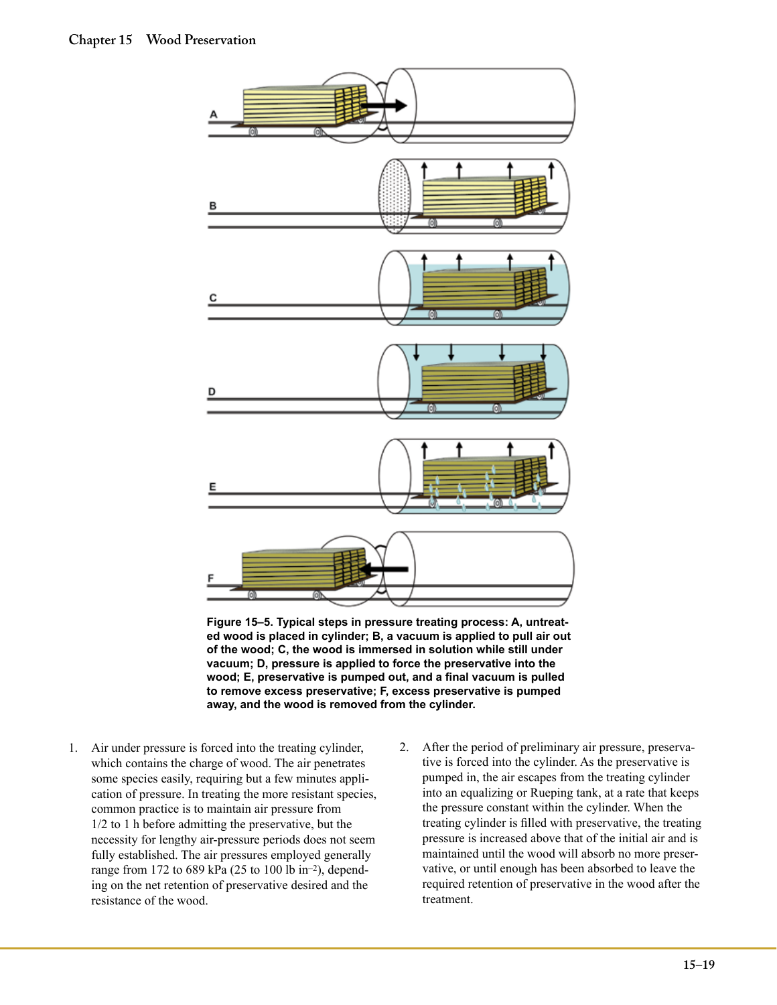

**Figure 15–5. Typical steps in pressure treating process: A, untreated wood is placed in cylinder; B, a vacuum is applied to pull air out of the wood; C, the wood is immersed in solution while still under vacuum; D, pressure is applied to force the preservative into the wood; E, preservative is pumped out, and a final vacuum is pulled to remove excess preservative; F, excess preservative is pumped away, and the wood is removed from the cylinder.**

- 1. Air under pressure is forced into the treating cylinder, which contains the charge of wood. The air penetrates some species easily, requiring but a few minutes application of pressure. In treating the more resistant species, common practice is to maintain air pressure from 1/2 to 1 h before admitting the preservative, but the necessity for lengthy air-pressure periods does not seem fully established. The air pressures employed generally range from 172 to 689 kPa (25 to 100 lb in–2), depending on the net retention of preservative desired and the resistance of the wood.
- 2. After the period of preliminary air pressure, preservative is forced into the cylinder. As the preservative is pumped in, the air escapes from the treating cylinder into an equalizing or Rueping tank, at a rate that keeps the pressure constant within the cylinder. When the treating cylinder is filled with preservative, the treating pressure is increased above that of the initial air and is maintained until the wood will absorb no more preservative, or until enough has been absorbed to leave the required retention of preservative in the wood after the treatment.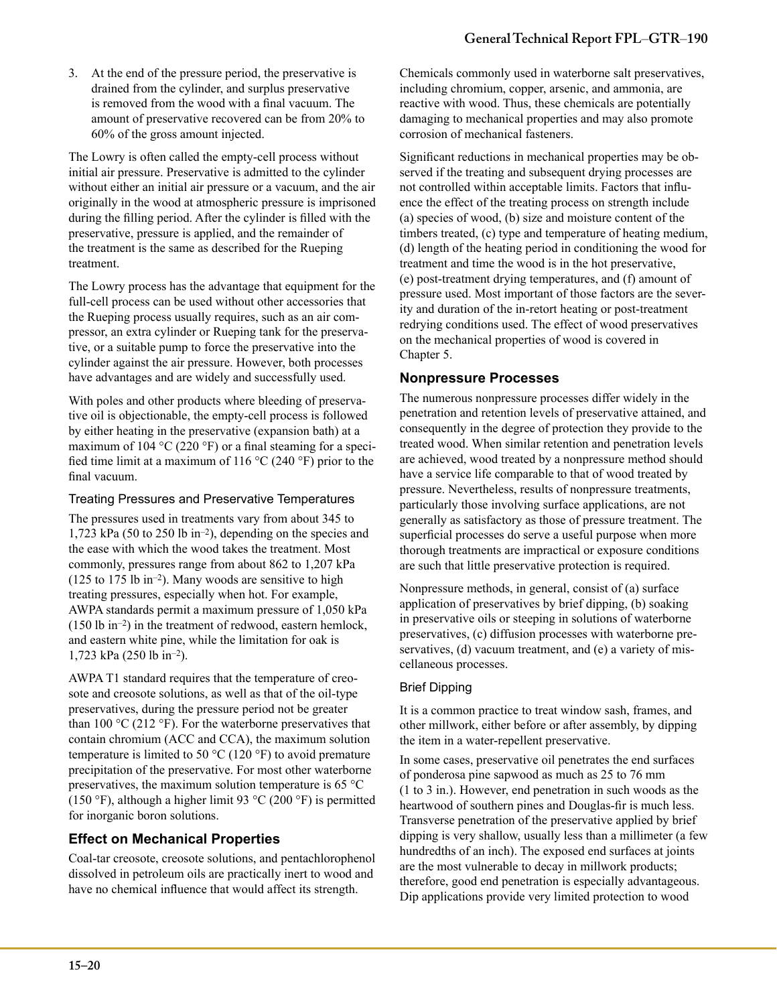3. At the end of the pressure period, the preservative is drained from the cylinder, and surplus preservative is removed from the wood with a final vacuum. The amount of preservative recovered can be from 20% to 60% of the gross amount injected.

The Lowry is often called the empty-cell process without initial air pressure. Preservative is admitted to the cylinder without either an initial air pressure or a vacuum, and the air originally in the wood at atmospheric pressure is imprisoned during the filling period. After the cylinder is filled with the preservative, pressure is applied, and the remainder of the treatment is the same as described for the Rueping treatment.

The Lowry process has the advantage that equipment for the full-cell process can be used without other accessories that the Rueping process usually requires, such as an air compressor, an extra cylinder or Rueping tank for the preservative, or a suitable pump to force the preservative into the cylinder against the air pressure. However, both processes have advantages and are widely and successfully used.

With poles and other products where bleeding of preservative oil is objectionable, the empty-cell process is followed by either heating in the preservative (expansion bath) at a maximum of 104 °C (220 °F) or a final steaming for a specified time limit at a maximum of 116 °C (240 °F) prior to the final vacuum.

### Treating Pressures and Preservative Temperatures

The pressures used in treatments vary from about 345 to 1,723 kPa (50 to 250 lb in–2), depending on the species and the ease with which the wood takes the treatment. Most commonly, pressures range from about 862 to 1,207 kPa (125 to 175 lb in–2). Many woods are sensitive to high treating pressures, especially when hot. For example, AWPA standards permit a maximum pressure of 1,050 kPa (150 lb in–2) in the treatment of redwood, eastern hemlock, and eastern white pine, while the limitation for oak is 1,723 kPa (250 lb in–2).

AWPA T1 standard requires that the temperature of creosote and creosote solutions, as well as that of the oil-type preservatives, during the pressure period not be greater than 100  $\rm{^{\circ}C}$  (212  $\rm{^{\circ}F}$ ). For the waterborne preservatives that contain chromium (ACC and CCA), the maximum solution temperature is limited to 50  $^{\circ}$ C (120  $^{\circ}$ F) to avoid premature precipitation of the preservative. For most other waterborne preservatives, the maximum solution temperature is 65 °C (150 °F), although a higher limit 93 °C (200 °F) is permitted for inorganic boron solutions.

### **Effect on Mechanical Properties**

Coal-tar creosote, creosote solutions, and pentachlorophenol dissolved in petroleum oils are practically inert to wood and have no chemical influence that would affect its strength.

Chemicals commonly used in waterborne salt preservatives, including chromium, copper, arsenic, and ammonia, are reactive with wood. Thus, these chemicals are potentially damaging to mechanical properties and may also promote corrosion of mechanical fasteners.

Significant reductions in mechanical properties may be observed if the treating and subsequent drying processes are not controlled within acceptable limits. Factors that influence the effect of the treating process on strength include (a) species of wood, (b) size and moisture content of the timbers treated, (c) type and temperature of heating medium, (d) length of the heating period in conditioning the wood for treatment and time the wood is in the hot preservative, (e) post-treatment drying temperatures, and (f) amount of pressure used. Most important of those factors are the severity and duration of the in-retort heating or post-treatment redrying conditions used. The effect of wood preservatives on the mechanical properties of wood is covered in Chapter 5.

### **Nonpressure Processes**

The numerous nonpressure processes differ widely in the penetration and retention levels of preservative attained, and consequently in the degree of protection they provide to the treated wood. When similar retention and penetration levels are achieved, wood treated by a nonpressure method should have a service life comparable to that of wood treated by pressure. Nevertheless, results of nonpressure treatments, particularly those involving surface applications, are not generally as satisfactory as those of pressure treatment. The superficial processes do serve a useful purpose when more thorough treatments are impractical or exposure conditions are such that little preservative protection is required.

Nonpressure methods, in general, consist of (a) surface application of preservatives by brief dipping, (b) soaking in preservative oils or steeping in solutions of waterborne preservatives, (c) diffusion processes with waterborne preservatives, (d) vacuum treatment, and (e) a variety of miscellaneous processes.

### Brief Dipping

It is a common practice to treat window sash, frames, and other millwork, either before or after assembly, by dipping the item in a water-repellent preservative.

In some cases, preservative oil penetrates the end surfaces of ponderosa pine sapwood as much as 25 to 76 mm (1 to 3 in.). However, end penetration in such woods as the heartwood of southern pines and Douglas-fir is much less. Transverse penetration of the preservative applied by brief dipping is very shallow, usually less than a millimeter (a few hundredths of an inch). The exposed end surfaces at joints are the most vulnerable to decay in millwork products; therefore, good end penetration is especially advantageous. Dip applications provide very limited protection to wood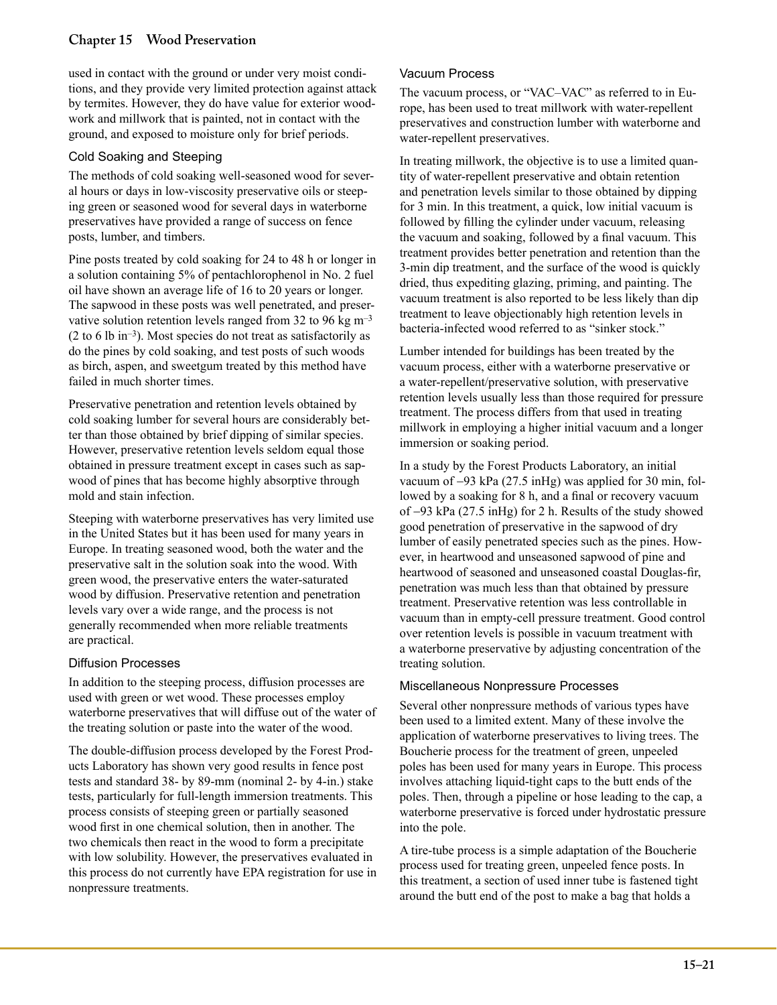used in contact with the ground or under very moist conditions, and they provide very limited protection against attack by termites. However, they do have value for exterior woodwork and millwork that is painted, not in contact with the ground, and exposed to moisture only for brief periods.

### Cold Soaking and Steeping

The methods of cold soaking well-seasoned wood for several hours or days in low-viscosity preservative oils or steeping green or seasoned wood for several days in waterborne preservatives have provided a range of success on fence posts, lumber, and timbers.

Pine posts treated by cold soaking for 24 to 48 h or longer in a solution containing 5% of pentachlorophenol in No. 2 fuel oil have shown an average life of 16 to 20 years or longer. The sapwood in these posts was well penetrated, and preservative solution retention levels ranged from 32 to 96 kg m–3 (2 to 6 lb in–3). Most species do not treat as satisfactorily as do the pines by cold soaking, and test posts of such woods as birch, aspen, and sweetgum treated by this method have failed in much shorter times.

Preservative penetration and retention levels obtained by cold soaking lumber for several hours are considerably better than those obtained by brief dipping of similar species. However, preservative retention levels seldom equal those obtained in pressure treatment except in cases such as sapwood of pines that has become highly absorptive through mold and stain infection.

Steeping with waterborne preservatives has very limited use in the United States but it has been used for many years in Europe. In treating seasoned wood, both the water and the preservative salt in the solution soak into the wood. With green wood, the preservative enters the water-saturated wood by diffusion. Preservative retention and penetration levels vary over a wide range, and the process is not generally recommended when more reliable treatments are practical.

#### Diffusion Processes

In addition to the steeping process, diffusion processes are used with green or wet wood. These processes employ waterborne preservatives that will diffuse out of the water of the treating solution or paste into the water of the wood.

The double-diffusion process developed by the Forest Products Laboratory has shown very good results in fence post tests and standard 38- by 89-mm (nominal 2- by 4-in.) stake tests, particularly for full-length immersion treatments. This process consists of steeping green or partially seasoned wood first in one chemical solution, then in another. The two chemicals then react in the wood to form a precipitate with low solubility. However, the preservatives evaluated in this process do not currently have EPA registration for use in nonpressure treatments.

### Vacuum Process

The vacuum process, or "VAC–VAC" as referred to in Europe, has been used to treat millwork with water-repellent preservatives and construction lumber with waterborne and water-repellent preservatives.

In treating millwork, the objective is to use a limited quantity of water-repellent preservative and obtain retention and penetration levels similar to those obtained by dipping for 3 min. In this treatment, a quick, low initial vacuum is followed by filling the cylinder under vacuum, releasing the vacuum and soaking, followed by a final vacuum. This treatment provides better penetration and retention than the 3-min dip treatment, and the surface of the wood is quickly dried, thus expediting glazing, priming, and painting. The vacuum treatment is also reported to be less likely than dip treatment to leave objectionably high retention levels in bacteria-infected wood referred to as "sinker stock."

Lumber intended for buildings has been treated by the vacuum process, either with a waterborne preservative or a water-repellent/preservative solution, with preservative retention levels usually less than those required for pressure treatment. The process differs from that used in treating millwork in employing a higher initial vacuum and a longer immersion or soaking period.

In a study by the Forest Products Laboratory, an initial vacuum of -93 kPa (27.5 inHg) was applied for 30 min, followed by a soaking for 8 h, and a final or recovery vacuum of -93 kPa (27.5 inHg) for 2 h. Results of the study showed good penetration of preservative in the sapwood of dry lumber of easily penetrated species such as the pines. However, in heartwood and unseasoned sapwood of pine and heartwood of seasoned and unseasoned coastal Douglas-fir, penetration was much less than that obtained by pressure treatment. Preservative retention was less controllable in vacuum than in empty-cell pressure treatment. Good control over retention levels is possible in vacuum treatment with a waterborne preservative by adjusting concentration of the treating solution.

#### Miscellaneous Nonpressure Processes

Several other nonpressure methods of various types have been used to a limited extent. Many of these involve the application of waterborne preservatives to living trees. The Boucherie process for the treatment of green, unpeeled poles has been used for many years in Europe. This process involves attaching liquid-tight caps to the butt ends of the poles. Then, through a pipeline or hose leading to the cap, a waterborne preservative is forced under hydrostatic pressure into the pole.

A tire-tube process is a simple adaptation of the Boucherie process used for treating green, unpeeled fence posts. In this treatment, a section of used inner tube is fastened tight around the butt end of the post to make a bag that holds a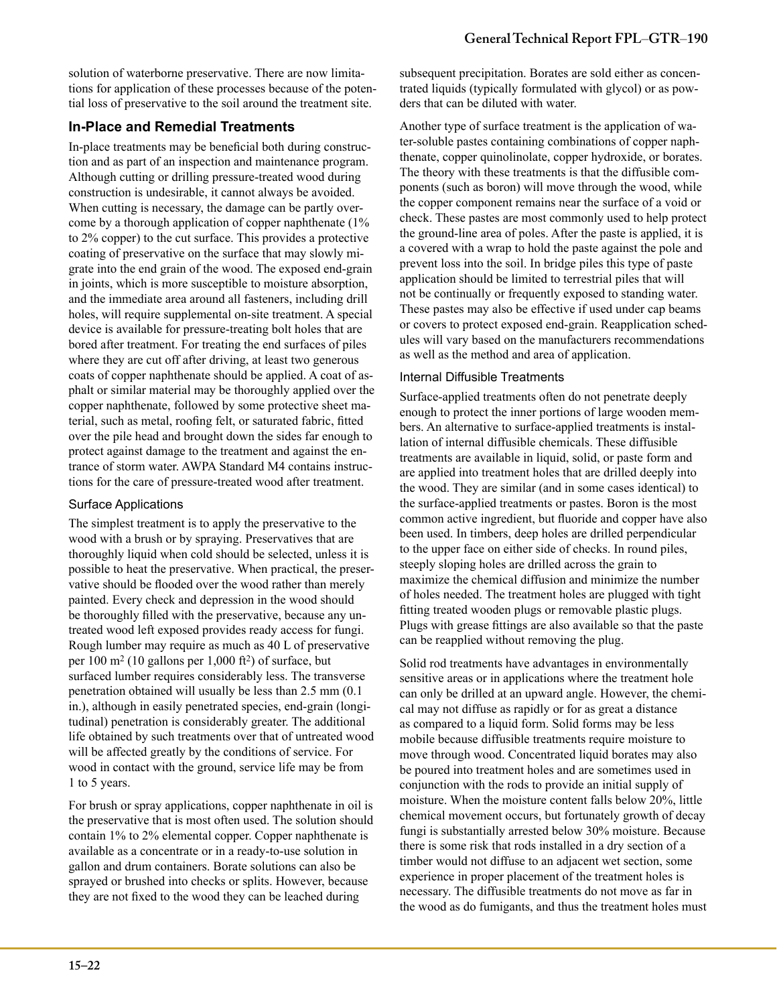solution of waterborne preservative. There are now limitations for application of these processes because of the potential loss of preservative to the soil around the treatment site.

### **In-Place and Remedial Treatments**

In-place treatments may be beneficial both during construction and as part of an inspection and maintenance program. Although cutting or drilling pressure-treated wood during construction is undesirable, it cannot always be avoided. When cutting is necessary, the damage can be partly overcome by a thorough application of copper naphthenate (1% to 2% copper) to the cut surface. This provides a protective coating of preservative on the surface that may slowly migrate into the end grain of the wood. The exposed end-grain in joints, which is more susceptible to moisture absorption, and the immediate area around all fasteners, including drill holes, will require supplemental on-site treatment. A special device is available for pressure-treating bolt holes that are bored after treatment. For treating the end surfaces of piles where they are cut off after driving, at least two generous coats of copper naphthenate should be applied. A coat of asphalt or similar material may be thoroughly applied over the copper naphthenate, followed by some protective sheet material, such as metal, roofing felt, or saturated fabric, fitted over the pile head and brought down the sides far enough to protect against damage to the treatment and against the entrance of storm water. AWPA Standard M4 contains instructions for the care of pressure-treated wood after treatment.

### Surface Applications

The simplest treatment is to apply the preservative to the wood with a brush or by spraying. Preservatives that are thoroughly liquid when cold should be selected, unless it is possible to heat the preservative. When practical, the preservative should be flooded over the wood rather than merely painted. Every check and depression in the wood should be thoroughly filled with the preservative, because any untreated wood left exposed provides ready access for fungi. Rough lumber may require as much as 40 L of preservative per  $100 \text{ m}^2$  (10 gallons per  $1,000 \text{ ft}^2$ ) of surface, but surfaced lumber requires considerably less. The transverse penetration obtained will usually be less than 2.5 mm (0.1 in.), although in easily penetrated species, end-grain (longitudinal) penetration is considerably greater. The additional life obtained by such treatments over that of untreated wood will be affected greatly by the conditions of service. For wood in contact with the ground, service life may be from 1 to 5 years.

For brush or spray applications, copper naphthenate in oil is the preservative that is most often used. The solution should contain 1% to 2% elemental copper. Copper naphthenate is available as a concentrate or in a ready-to-use solution in gallon and drum containers. Borate solutions can also be sprayed or brushed into checks or splits. However, because they are not fixed to the wood they can be leached during

subsequent precipitation. Borates are sold either as concentrated liquids (typically formulated with glycol) or as powders that can be diluted with water.

Another type of surface treatment is the application of water-soluble pastes containing combinations of copper naphthenate, copper quinolinolate, copper hydroxide, or borates. The theory with these treatments is that the diffusible components (such as boron) will move through the wood, while the copper component remains near the surface of a void or check. These pastes are most commonly used to help protect the ground-line area of poles. After the paste is applied, it is a covered with a wrap to hold the paste against the pole and prevent loss into the soil. In bridge piles this type of paste application should be limited to terrestrial piles that will not be continually or frequently exposed to standing water. These pastes may also be effective if used under cap beams or covers to protect exposed end-grain. Reapplication schedules will vary based on the manufacturers recommendations as well as the method and area of application.

### Internal Diffusible Treatments

Surface-applied treatments often do not penetrate deeply enough to protect the inner portions of large wooden members. An alternative to surface-applied treatments is installation of internal diffusible chemicals. These diffusible treatments are available in liquid, solid, or paste form and are applied into treatment holes that are drilled deeply into the wood. They are similar (and in some cases identical) to the surface-applied treatments or pastes. Boron is the most common active ingredient, but fluoride and copper have also been used. In timbers, deep holes are drilled perpendicular to the upper face on either side of checks. In round piles, steeply sloping holes are drilled across the grain to maximize the chemical diffusion and minimize the number of holes needed. The treatment holes are plugged with tight fitting treated wooden plugs or removable plastic plugs. Plugs with grease fittings are also available so that the paste can be reapplied without removing the plug.

Solid rod treatments have advantages in environmentally sensitive areas or in applications where the treatment hole can only be drilled at an upward angle. However, the chemical may not diffuse as rapidly or for as great a distance as compared to a liquid form. Solid forms may be less mobile because diffusible treatments require moisture to move through wood. Concentrated liquid borates may also be poured into treatment holes and are sometimes used in conjunction with the rods to provide an initial supply of moisture. When the moisture content falls below 20%, little chemical movement occurs, but fortunately growth of decay fungi is substantially arrested below 30% moisture. Because there is some risk that rods installed in a dry section of a timber would not diffuse to an adjacent wet section, some experience in proper placement of the treatment holes is necessary. The diffusible treatments do not move as far in the wood as do fumigants, and thus the treatment holes must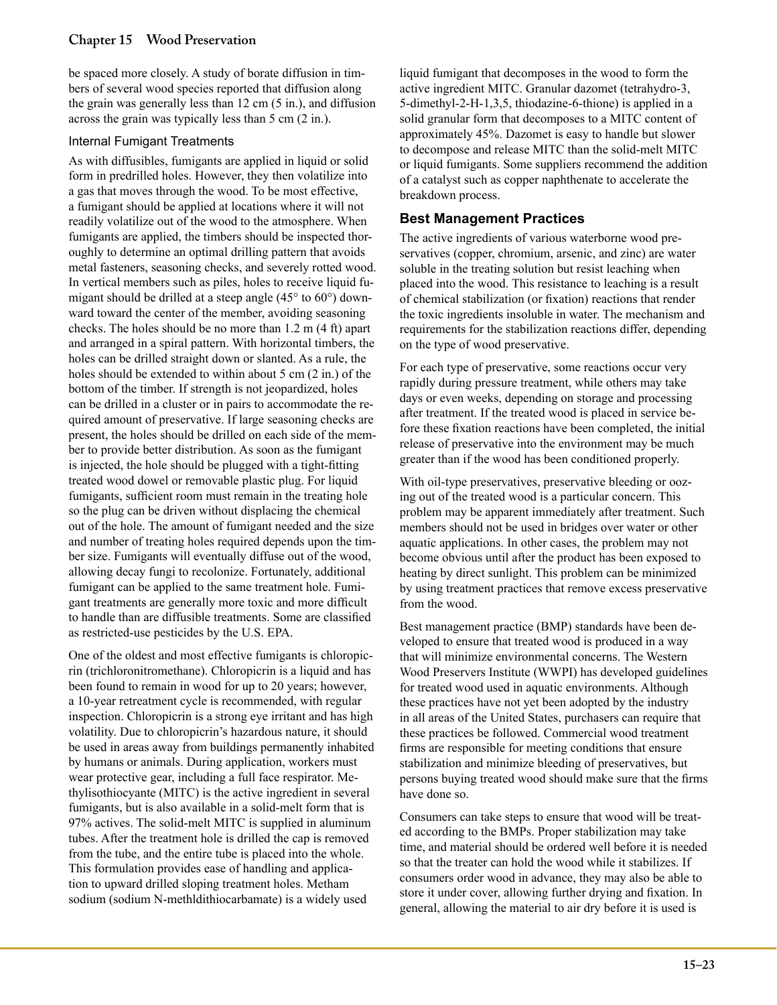be spaced more closely. A study of borate diffusion in timbers of several wood species reported that diffusion along the grain was generally less than 12 cm (5 in.), and diffusion across the grain was typically less than 5 cm (2 in.).

### Internal Fumigant Treatments

As with diffusibles, fumigants are applied in liquid or solid form in predrilled holes. However, they then volatilize into a gas that moves through the wood. To be most effective, a fumigant should be applied at locations where it will not readily volatilize out of the wood to the atmosphere. When fumigants are applied, the timbers should be inspected thoroughly to determine an optimal drilling pattern that avoids metal fasteners, seasoning checks, and severely rotted wood. In vertical members such as piles, holes to receive liquid fumigant should be drilled at a steep angle (45° to 60°) downward toward the center of the member, avoiding seasoning checks. The holes should be no more than 1.2 m (4 ft) apart and arranged in a spiral pattern. With horizontal timbers, the holes can be drilled straight down or slanted. As a rule, the holes should be extended to within about 5 cm (2 in.) of the bottom of the timber. If strength is not jeopardized, holes can be drilled in a cluster or in pairs to accommodate the required amount of preservative. If large seasoning checks are present, the holes should be drilled on each side of the member to provide better distribution. As soon as the fumigant is injected, the hole should be plugged with a tight-fitting treated wood dowel or removable plastic plug. For liquid fumigants, sufficient room must remain in the treating hole so the plug can be driven without displacing the chemical out of the hole. The amount of fumigant needed and the size and number of treating holes required depends upon the timber size. Fumigants will eventually diffuse out of the wood, allowing decay fungi to recolonize. Fortunately, additional fumigant can be applied to the same treatment hole. Fumigant treatments are generally more toxic and more difficult to handle than are diffusible treatments. Some are classified as restricted-use pesticides by the U.S. EPA.

One of the oldest and most effective fumigants is chloropicrin (trichloronitromethane). Chloropicrin is a liquid and has been found to remain in wood for up to 20 years; however, a 10-year retreatment cycle is recommended, with regular inspection. Chloropicrin is a strong eye irritant and has high volatility. Due to chloropicrin's hazardous nature, it should be used in areas away from buildings permanently inhabited by humans or animals. During application, workers must wear protective gear, including a full face respirator. Methylisothiocyante (MITC) is the active ingredient in several fumigants, but is also available in a solid-melt form that is 97% actives. The solid-melt MITC is supplied in aluminum tubes. After the treatment hole is drilled the cap is removed from the tube, and the entire tube is placed into the whole. This formulation provides ease of handling and application to upward drilled sloping treatment holes. Metham sodium (sodium N-methldithiocarbamate) is a widely used

liquid fumigant that decomposes in the wood to form the active ingredient MITC. Granular dazomet (tetrahydro-3, 5-dimethyl-2-H-1,3,5, thiodazine-6-thione) is applied in a solid granular form that decomposes to a MITC content of approximately 45%. Dazomet is easy to handle but slower to decompose and release MITC than the solid-melt MITC or liquid fumigants. Some suppliers recommend the addition of a catalyst such as copper naphthenate to accelerate the breakdown process.

### **Best Management Practices**

The active ingredients of various waterborne wood preservatives (copper, chromium, arsenic, and zinc) are water soluble in the treating solution but resist leaching when placed into the wood. This resistance to leaching is a result of chemical stabilization (or fixation) reactions that render the toxic ingredients insoluble in water. The mechanism and requirements for the stabilization reactions differ, depending on the type of wood preservative.

For each type of preservative, some reactions occur very rapidly during pressure treatment, while others may take days or even weeks, depending on storage and processing after treatment. If the treated wood is placed in service before these fixation reactions have been completed, the initial release of preservative into the environment may be much greater than if the wood has been conditioned properly.

With oil-type preservatives, preservative bleeding or oozing out of the treated wood is a particular concern. This problem may be apparent immediately after treatment. Such members should not be used in bridges over water or other aquatic applications. In other cases, the problem may not become obvious until after the product has been exposed to heating by direct sunlight. This problem can be minimized by using treatment practices that remove excess preservative from the wood.

Best management practice (BMP) standards have been developed to ensure that treated wood is produced in a way that will minimize environmental concerns. The Western Wood Preservers Institute (WWPI) has developed guidelines for treated wood used in aquatic environments. Although these practices have not yet been adopted by the industry in all areas of the United States, purchasers can require that these practices be followed. Commercial wood treatment firms are responsible for meeting conditions that ensure stabilization and minimize bleeding of preservatives, but persons buying treated wood should make sure that the firms have done so.

Consumers can take steps to ensure that wood will be treated according to the BMPs. Proper stabilization may take time, and material should be ordered well before it is needed so that the treater can hold the wood while it stabilizes. If consumers order wood in advance, they may also be able to store it under cover, allowing further drying and fixation. In general, allowing the material to air dry before it is used is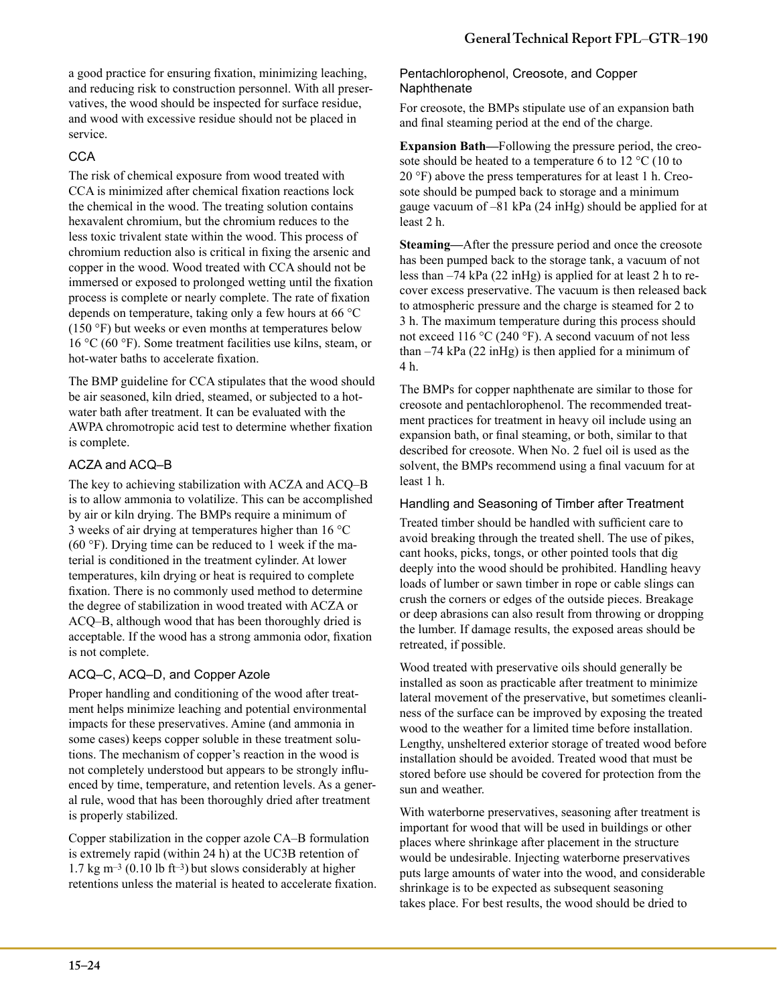a good practice for ensuring fixation, minimizing leaching, and reducing risk to construction personnel. With all preservatives, the wood should be inspected for surface residue, and wood with excessive residue should not be placed in service.

### **CCA**

The risk of chemical exposure from wood treated with CCA is minimized after chemical fixation reactions lock the chemical in the wood. The treating solution contains hexavalent chromium, but the chromium reduces to the less toxic trivalent state within the wood. This process of chromium reduction also is critical in fixing the arsenic and copper in the wood. Wood treated with CCA should not be immersed or exposed to prolonged wetting until the fixation process is complete or nearly complete. The rate of fixation depends on temperature, taking only a few hours at 66 °C (150 °F) but weeks or even months at temperatures below 16 °C (60 °F). Some treatment facilities use kilns, steam, or hot-water baths to accelerate fixation.

The BMP guideline for CCA stipulates that the wood should be air seasoned, kiln dried, steamed, or subjected to a hotwater bath after treatment. It can be evaluated with the AWPA chromotropic acid test to determine whether fixation is complete.

### ACZA and ACQ–B

The key to achieving stabilization with ACZA and ACQ–B is to allow ammonia to volatilize. This can be accomplished by air or kiln drying. The BMPs require a minimum of 3 weeks of air drying at temperatures higher than 16 °C (60 °F). Drying time can be reduced to 1 week if the material is conditioned in the treatment cylinder. At lower temperatures, kiln drying or heat is required to complete fixation. There is no commonly used method to determine the degree of stabilization in wood treated with ACZA or ACQ–B, although wood that has been thoroughly dried is acceptable. If the wood has a strong ammonia odor, fixation is not complete.

### ACQ–C, ACQ–D, and Copper Azole

Proper handling and conditioning of the wood after treatment helps minimize leaching and potential environmental impacts for these preservatives. Amine (and ammonia in some cases) keeps copper soluble in these treatment solutions. The mechanism of copper's reaction in the wood is not completely understood but appears to be strongly influenced by time, temperature, and retention levels. As a general rule, wood that has been thoroughly dried after treatment is properly stabilized.

Copper stabilization in the copper azole CA–B formulation is extremely rapid (within 24 h) at the UC3B retention of 1.7 kg m<sup>-3</sup> (0.10 lb ft<sup>-3</sup>) but slows considerably at higher retentions unless the material is heated to accelerate fixation.

### Pentachlorophenol, Creosote, and Copper Naphthenate

For creosote, the BMPs stipulate use of an expansion bath and final steaming period at the end of the charge.

**Expansion Bath—**Following the pressure period, the creosote should be heated to a temperature 6 to 12 °C (10 to 20 °F) above the press temperatures for at least 1 h. Creosote should be pumped back to storage and a minimum gauge vacuum of –81 kPa (24 inHg) should be applied for at least 2 h.

**Steaming—**After the pressure period and once the creosote has been pumped back to the storage tank, a vacuum of not less than –74 kPa (22 inHg) is applied for at least 2 h to recover excess preservative. The vacuum is then released back to atmospheric pressure and the charge is steamed for 2 to 3 h. The maximum temperature during this process should not exceed 116 °C (240 °F). A second vacuum of not less than  $-74$  kPa (22 inHg) is then applied for a minimum of 4 h.

The BMPs for copper naphthenate are similar to those for creosote and pentachlorophenol. The recommended treatment practices for treatment in heavy oil include using an expansion bath, or final steaming, or both, similar to that described for creosote. When No. 2 fuel oil is used as the solvent, the BMPs recommend using a final vacuum for at least 1 h.

### Handling and Seasoning of Timber after Treatment

Treated timber should be handled with sufficient care to avoid breaking through the treated shell. The use of pikes, cant hooks, picks, tongs, or other pointed tools that dig deeply into the wood should be prohibited. Handling heavy loads of lumber or sawn timber in rope or cable slings can crush the corners or edges of the outside pieces. Breakage or deep abrasions can also result from throwing or dropping the lumber. If damage results, the exposed areas should be retreated, if possible.

Wood treated with preservative oils should generally be installed as soon as practicable after treatment to minimize lateral movement of the preservative, but sometimes cleanliness of the surface can be improved by exposing the treated wood to the weather for a limited time before installation. Lengthy, unsheltered exterior storage of treated wood before installation should be avoided. Treated wood that must be stored before use should be covered for protection from the sun and weather.

With waterborne preservatives, seasoning after treatment is important for wood that will be used in buildings or other places where shrinkage after placement in the structure would be undesirable. Injecting waterborne preservatives puts large amounts of water into the wood, and considerable shrinkage is to be expected as subsequent seasoning takes place. For best results, the wood should be dried to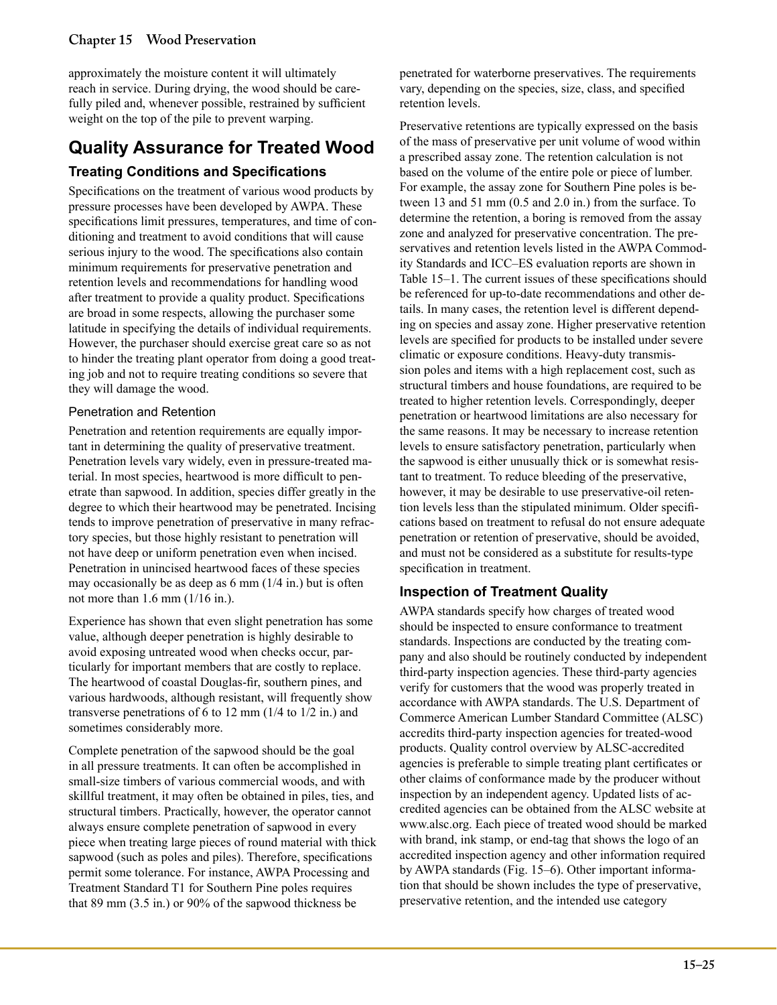approximately the moisture content it will ultimately reach in service. During drying, the wood should be carefully piled and, whenever possible, restrained by sufficient weight on the top of the pile to prevent warping.

### **Quality Assurance for Treated Wood Treating Conditions and Specifications**

Specifications on the treatment of various wood products by pressure processes have been developed by AWPA. These specifications limit pressures, temperatures, and time of conditioning and treatment to avoid conditions that will cause serious injury to the wood. The specifications also contain minimum requirements for preservative penetration and retention levels and recommendations for handling wood after treatment to provide a quality product. Specifications are broad in some respects, allowing the purchaser some latitude in specifying the details of individual requirements. However, the purchaser should exercise great care so as not to hinder the treating plant operator from doing a good treating job and not to require treating conditions so severe that they will damage the wood.

### Penetration and Retention

Penetration and retention requirements are equally important in determining the quality of preservative treatment. Penetration levels vary widely, even in pressure-treated material. In most species, heartwood is more difficult to penetrate than sapwood. In addition, species differ greatly in the degree to which their heartwood may be penetrated. Incising tends to improve penetration of preservative in many refractory species, but those highly resistant to penetration will not have deep or uniform penetration even when incised. Penetration in unincised heartwood faces of these species may occasionally be as deep as  $6 \text{ mm } (1/4 \text{ in.})$  but is often not more than 1.6 mm (1/16 in.).

Experience has shown that even slight penetration has some value, although deeper penetration is highly desirable to avoid exposing untreated wood when checks occur, particularly for important members that are costly to replace. The heartwood of coastal Douglas-fir, southern pines, and various hardwoods, although resistant, will frequently show transverse penetrations of 6 to 12 mm (1/4 to 1/2 in.) and sometimes considerably more.

Complete penetration of the sapwood should be the goal in all pressure treatments. It can often be accomplished in small-size timbers of various commercial woods, and with skillful treatment, it may often be obtained in piles, ties, and structural timbers. Practically, however, the operator cannot always ensure complete penetration of sapwood in every piece when treating large pieces of round material with thick sapwood (such as poles and piles). Therefore, specifications permit some tolerance. For instance, AWPA Processing and Treatment Standard T1 for Southern Pine poles requires that 89 mm (3.5 in.) or 90% of the sapwood thickness be

penetrated for waterborne preservatives. The requirements vary, depending on the species, size, class, and specified retention levels.

Preservative retentions are typically expressed on the basis of the mass of preservative per unit volume of wood within a prescribed assay zone. The retention calculation is not based on the volume of the entire pole or piece of lumber. For example, the assay zone for Southern Pine poles is between 13 and 51 mm (0.5 and 2.0 in.) from the surface. To determine the retention, a boring is removed from the assay zone and analyzed for preservative concentration. The preservatives and retention levels listed in the AWPA Commodity Standards and ICC–ES evaluation reports are shown in Table 15–1. The current issues of these specifications should be referenced for up-to-date recommendations and other details. In many cases, the retention level is different depending on species and assay zone. Higher preservative retention levels are specified for products to be installed under severe climatic or exposure conditions. Heavy-duty transmission poles and items with a high replacement cost, such as structural timbers and house foundations, are required to be treated to higher retention levels. Correspondingly, deeper penetration or heartwood limitations are also necessary for the same reasons. It may be necessary to increase retention levels to ensure satisfactory penetration, particularly when the sapwood is either unusually thick or is somewhat resistant to treatment. To reduce bleeding of the preservative, however, it may be desirable to use preservative-oil retention levels less than the stipulated minimum. Older specifications based on treatment to refusal do not ensure adequate penetration or retention of preservative, should be avoided, and must not be considered as a substitute for results-type specification in treatment.

### **Inspection of Treatment Quality**

AWPA standards specify how charges of treated wood should be inspected to ensure conformance to treatment standards. Inspections are conducted by the treating company and also should be routinely conducted by independent third-party inspection agencies. These third-party agencies verify for customers that the wood was properly treated in accordance with AWPA standards. The U.S. Department of Commerce American Lumber Standard Committee (ALSC) accredits third-party inspection agencies for treated-wood products. Quality control overview by ALSC-accredited agencies is preferable to simple treating plant certificates or other claims of conformance made by the producer without inspection by an independent agency. Updated lists of accredited agencies can be obtained from the ALSC website at www.alsc.org. Each piece of treated wood should be marked with brand, ink stamp, or end-tag that shows the logo of an accredited inspection agency and other information required by AWPA standards (Fig. 15–6). Other important information that should be shown includes the type of preservative, preservative retention, and the intended use category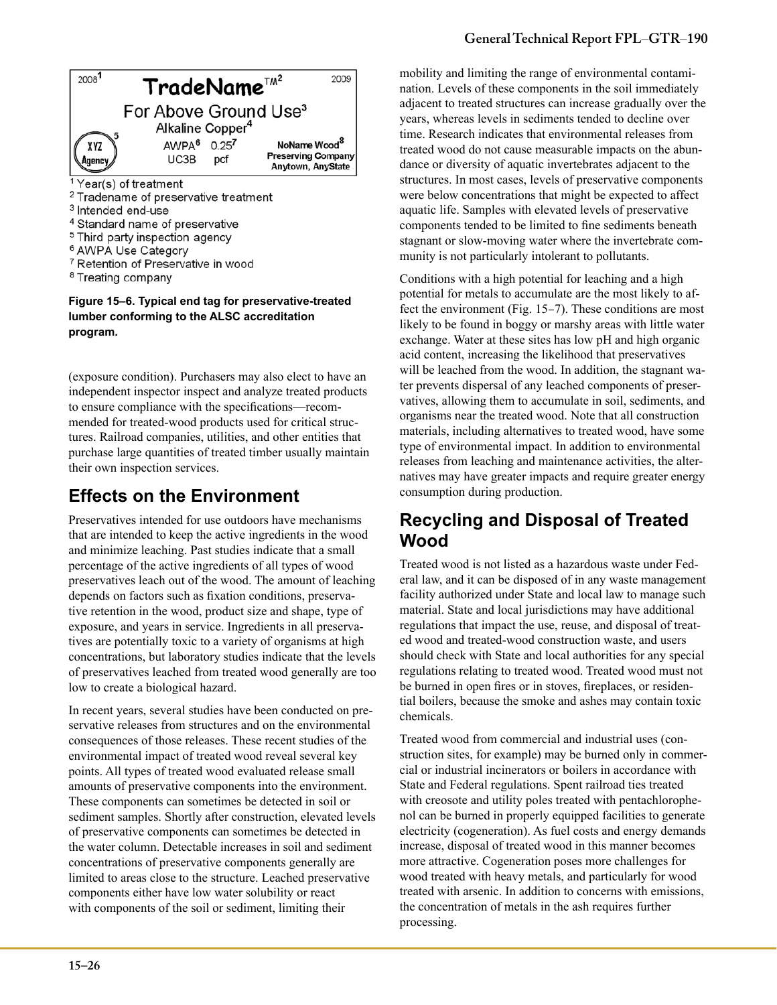

- <sup>3</sup> Intended end-use
- <sup>4</sup> Standard name of preservative
- <sup>5</sup> Third party inspection agency
- <sup>6</sup> AWPA Use Category
- <sup>7</sup> Retention of Preservative in wood
- <sup>8</sup> Treating company

#### **Figure 15–6. Typical end tag for preservative-treated lumber conforming to the ALSC accreditation program.**

(exposure condition). Purchasers may also elect to have an independent inspector inspect and analyze treated products to ensure compliance with the specifications—recommended for treated-wood products used for critical structures. Railroad companies, utilities, and other entities that purchase large quantities of treated timber usually maintain their own inspection services.

## **Effects on the Environment**

Preservatives intended for use outdoors have mechanisms that are intended to keep the active ingredients in the wood and minimize leaching. Past studies indicate that a small percentage of the active ingredients of all types of wood preservatives leach out of the wood. The amount of leaching depends on factors such as fixation conditions, preservative retention in the wood, product size and shape, type of exposure, and years in service. Ingredients in all preservatives are potentially toxic to a variety of organisms at high concentrations, but laboratory studies indicate that the levels of preservatives leached from treated wood generally are too low to create a biological hazard.

In recent years, several studies have been conducted on preservative releases from structures and on the environmental consequences of those releases. These recent studies of the environmental impact of treated wood reveal several key points. All types of treated wood evaluated release small amounts of preservative components into the environment. These components can sometimes be detected in soil or sediment samples. Shortly after construction, elevated levels of preservative components can sometimes be detected in the water column. Detectable increases in soil and sediment concentrations of preservative components generally are limited to areas close to the structure. Leached preservative components either have low water solubility or react with components of the soil or sediment, limiting their

mobility and limiting the range of environmental contamination. Levels of these components in the soil immediately adjacent to treated structures can increase gradually over the years, whereas levels in sediments tended to decline over time. Research indicates that environmental releases from treated wood do not cause measurable impacts on the abundance or diversity of aquatic invertebrates adjacent to the structures. In most cases, levels of preservative components were below concentrations that might be expected to affect aquatic life. Samples with elevated levels of preservative components tended to be limited to fine sediments beneath stagnant or slow-moving water where the invertebrate community is not particularly intolerant to pollutants.

Conditions with a high potential for leaching and a high potential for metals to accumulate are the most likely to affect the environment (Fig. 15–7). These conditions are most likely to be found in boggy or marshy areas with little water exchange. Water at these sites has low pH and high organic acid content, increasing the likelihood that preservatives will be leached from the wood. In addition, the stagnant water prevents dispersal of any leached components of preservatives, allowing them to accumulate in soil, sediments, and organisms near the treated wood. Note that all construction materials, including alternatives to treated wood, have some type of environmental impact. In addition to environmental releases from leaching and maintenance activities, the alternatives may have greater impacts and require greater energy consumption during production.

### **Recycling and Disposal of Treated Wood**

Treated wood is not listed as a hazardous waste under Federal law, and it can be disposed of in any waste management facility authorized under State and local law to manage such material. State and local jurisdictions may have additional regulations that impact the use, reuse, and disposal of treated wood and treated-wood construction waste, and users should check with State and local authorities for any special regulations relating to treated wood. Treated wood must not be burned in open fires or in stoves, fireplaces, or residential boilers, because the smoke and ashes may contain toxic chemicals.

Treated wood from commercial and industrial uses (construction sites, for example) may be burned only in commercial or industrial incinerators or boilers in accordance with State and Federal regulations. Spent railroad ties treated with creosote and utility poles treated with pentachlorophenol can be burned in properly equipped facilities to generate electricity (cogeneration). As fuel costs and energy demands increase, disposal of treated wood in this manner becomes more attractive. Cogeneration poses more challenges for wood treated with heavy metals, and particularly for wood treated with arsenic. In addition to concerns with emissions, the concentration of metals in the ash requires further processing.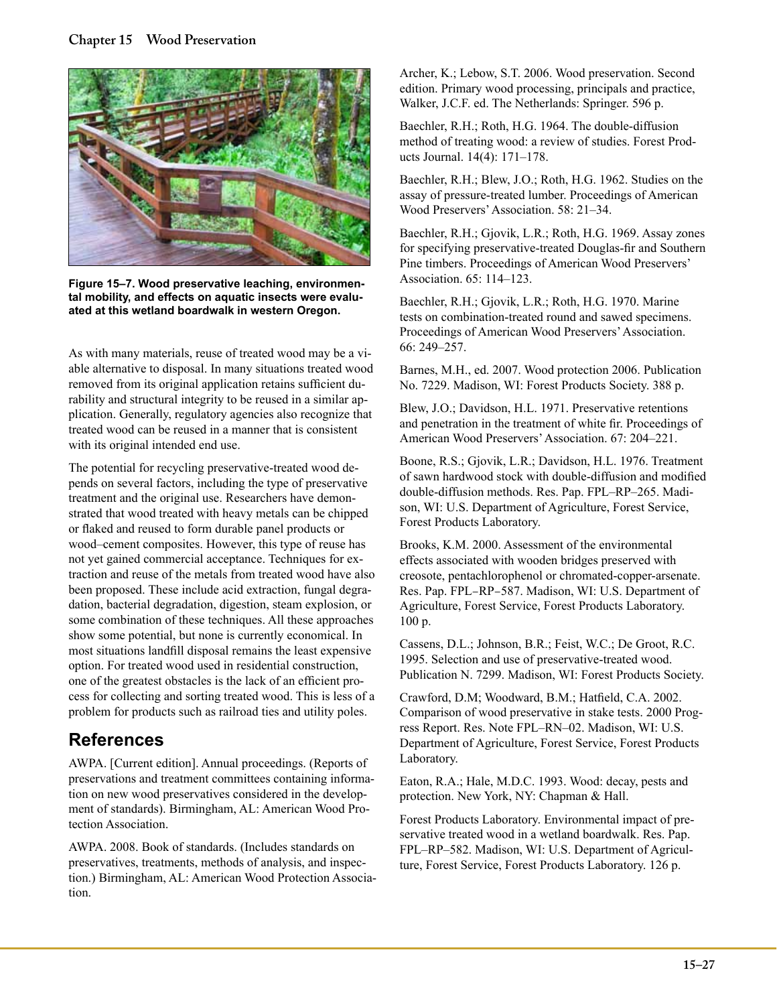

**Figure 15–7. Wood preservative leaching, environmental mobility, and effects on aquatic insects were evaluated at this wetland boardwalk in western Oregon.**

As with many materials, reuse of treated wood may be a viable alternative to disposal. In many situations treated wood removed from its original application retains sufficient durability and structural integrity to be reused in a similar application. Generally, regulatory agencies also recognize that treated wood can be reused in a manner that is consistent with its original intended end use.

The potential for recycling preservative-treated wood depends on several factors, including the type of preservative treatment and the original use. Researchers have demonstrated that wood treated with heavy metals can be chipped or flaked and reused to form durable panel products or wood–cement composites. However, this type of reuse has not yet gained commercial acceptance. Techniques for extraction and reuse of the metals from treated wood have also been proposed. These include acid extraction, fungal degradation, bacterial degradation, digestion, steam explosion, or some combination of these techniques. All these approaches show some potential, but none is currently economical. In most situations landfill disposal remains the least expensive option. For treated wood used in residential construction, one of the greatest obstacles is the lack of an efficient process for collecting and sorting treated wood. This is less of a problem for products such as railroad ties and utility poles.

### **References**

AWPA. [Current edition]. Annual proceedings. (Reports of preservations and treatment committees containing information on new wood preservatives considered in the development of standards). Birmingham, AL: American Wood Protection Association.

AWPA. 2008. Book of standards. (Includes standards on preservatives, treatments, methods of analysis, and inspection.) Birmingham, AL: American Wood Protection Association.

Archer, K.; Lebow, S.T. 2006. Wood preservation. Second edition. Primary wood processing, principals and practice, Walker, J.C.F. ed. The Netherlands: Springer. 596 p.

Baechler, R.H.; Roth, H.G. 1964. The double-diffusion method of treating wood: a review of studies. Forest Products Journal. 14(4): 171–178.

Baechler, R.H.; Blew, J.O.; Roth, H.G. 1962. Studies on the assay of pressure-treated lumber. Proceedings of American Wood Preservers' Association. 58: 21–34.

Baechler, R.H.; Gjovik, L.R.; Roth, H.G. 1969. Assay zones for specifying preservative-treated Douglas-fir and Southern Pine timbers. Proceedings of American Wood Preservers' Association. 65: 114–123.

Baechler, R.H.; Gjovik, L.R.; Roth, H.G. 1970. Marine tests on combination-treated round and sawed specimens. Proceedings of American Wood Preservers' Association. 66: 249–257.

Barnes, M.H., ed. 2007. Wood protection 2006. Publication No. 7229. Madison, WI: Forest Products Society. 388 p.

Blew, J.O.; Davidson, H.L. 1971. Preservative retentions and penetration in the treatment of white fir. Proceedings of American Wood Preservers' Association. 67: 204–221.

Boone, R.S.; Gjovik, L.R.; Davidson, H.L. 1976. Treatment of sawn hardwood stock with double-diffusion and modified double-diffusion methods. Res. Pap. FPL–RP–265. Madison, WI: U.S. Department of Agriculture, Forest Service, Forest Products Laboratory.

Brooks, K.M. 2000. Assessment of the environmental effects associated with wooden bridges preserved with creosote, pentachlorophenol or chromated-copper-arsenate. Res. Pap. FPL–RP–587. Madison, WI: U.S. Department of Agriculture, Forest Service, Forest Products Laboratory. 100 p.

Cassens, D.L.; Johnson, B.R.; Feist, W.C.; De Groot, R.C. 1995. Selection and use of preservative-treated wood. Publication N. 7299. Madison, WI: Forest Products Society.

Crawford, D.M; Woodward, B.M.; Hatfield, C.A. 2002. Comparison of wood preservative in stake tests. 2000 Progress Report. Res. Note FPL–RN–02. Madison, WI: U.S. Department of Agriculture, Forest Service, Forest Products Laboratory.

Eaton, R.A.; Hale, M.D.C. 1993. Wood: decay, pests and protection. New York, NY: Chapman & Hall.

Forest Products Laboratory. Environmental impact of preservative treated wood in a wetland boardwalk. Res. Pap. FPL–RP–582. Madison, WI: U.S. Department of Agriculture, Forest Service, Forest Products Laboratory. 126 p.